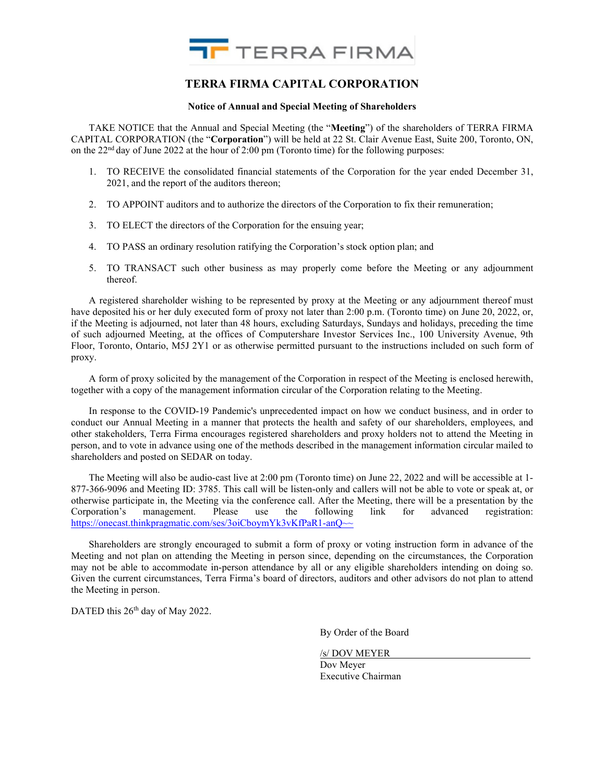

# TERRA FIRMA CAPITAL CORPORATION

#### Notice of Annual and Special Meeting of Shareholders

TAKE NOTICE that the Annual and Special Meeting (the "Meeting") of the shareholders of TERRA FIRMA CAPITAL CORPORATION (the "Corporation") will be held at 22 St. Clair Avenue East, Suite 200, Toronto, ON, on the  $22<sup>nd</sup>$  day of June 2022 at the hour of 2:00 pm (Toronto time) for the following purposes:

- 1. TO RECEIVE the consolidated financial statements of the Corporation for the year ended December 31, 2021, and the report of the auditors thereon;
- 2. TO APPOINT auditors and to authorize the directors of the Corporation to fix their remuneration;
- 3. TO ELECT the directors of the Corporation for the ensuing year;
- 4. TO PASS an ordinary resolution ratifying the Corporation's stock option plan; and
- 5. TO TRANSACT such other business as may properly come before the Meeting or any adjournment thereof.

A registered shareholder wishing to be represented by proxy at the Meeting or any adjournment thereof must have deposited his or her duly executed form of proxy not later than 2:00 p.m. (Toronto time) on June 20, 2022, or, if the Meeting is adjourned, not later than 48 hours, excluding Saturdays, Sundays and holidays, preceding the time of such adjourned Meeting, at the offices of Computershare Investor Services Inc., 100 University Avenue, 9th Floor, Toronto, Ontario, M5J 2Y1 or as otherwise permitted pursuant to the instructions included on such form of proxy.

A form of proxy solicited by the management of the Corporation in respect of the Meeting is enclosed herewith, together with a copy of the management information circular of the Corporation relating to the Meeting.

In response to the COVID-19 Pandemic's unprecedented impact on how we conduct business, and in order to conduct our Annual Meeting in a manner that protects the health and safety of our shareholders, employees, and other stakeholders, Terra Firma encourages registered shareholders and proxy holders not to attend the Meeting in person, and to vote in advance using one of the methods described in the management information circular mailed to shareholders and posted on SEDAR on today.

The Meeting will also be audio-cast live at 2:00 pm (Toronto time) on June 22, 2022 and will be accessible at 1- 877-366-9096 and Meeting ID: 3785. This call will be listen-only and callers will not be able to vote or speak at, or otherwise participate in, the Meeting via the conference call. After the Meeting, there will be a presentation by the Corporation's management. Please use the following link for advanced registration: https://onecast.thinkpragmatic.com/ses/3oiCboymYk3vKfPaR1-anQ~~

Shareholders are strongly encouraged to submit a form of proxy or voting instruction form in advance of the Meeting and not plan on attending the Meeting in person since, depending on the circumstances, the Corporation may not be able to accommodate in-person attendance by all or any eligible shareholders intending on doing so. Given the current circumstances, Terra Firma's board of directors, auditors and other advisors do not plan to attend the Meeting in person.

DATED this 26<sup>th</sup> day of May 2022.

By Order of the Board

/s/ DOV MEYER Dov Meyer Executive Chairman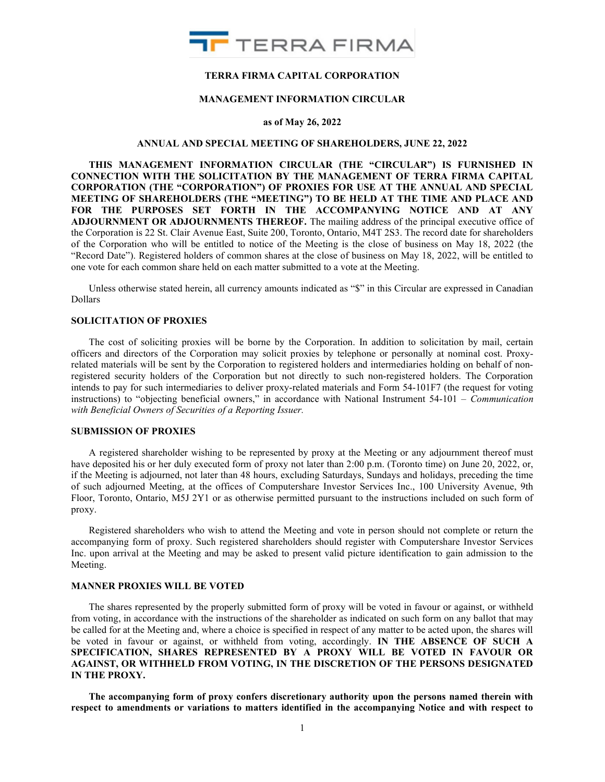

## TERRA FIRMA CAPITAL CORPORATION

#### MANAGEMENT INFORMATION CIRCULAR

#### as of May 26, 2022

#### ANNUAL AND SPECIAL MEETING OF SHAREHOLDERS, JUNE 22, 2022

THIS MANAGEMENT INFORMATION CIRCULAR (THE "CIRCULAR") IS FURNISHED IN CONNECTION WITH THE SOLICITATION BY THE MANAGEMENT OF TERRA FIRMA CAPITAL CORPORATION (THE "CORPORATION") OF PROXIES FOR USE AT THE ANNUAL AND SPECIAL MEETING OF SHAREHOLDERS (THE "MEETING") TO BE HELD AT THE TIME AND PLACE AND FOR THE PURPOSES SET FORTH IN THE ACCOMPANYING NOTICE AND AT ANY ADJOURNMENT OR ADJOURNMENTS THEREOF. The mailing address of the principal executive office of the Corporation is 22 St. Clair Avenue East, Suite 200, Toronto, Ontario, M4T 2S3. The record date for shareholders of the Corporation who will be entitled to notice of the Meeting is the close of business on May 18, 2022 (the "Record Date"). Registered holders of common shares at the close of business on May 18, 2022, will be entitled to one vote for each common share held on each matter submitted to a vote at the Meeting.

Unless otherwise stated herein, all currency amounts indicated as "\$" in this Circular are expressed in Canadian Dollars

## SOLICITATION OF PROXIES

The cost of soliciting proxies will be borne by the Corporation. In addition to solicitation by mail, certain officers and directors of the Corporation may solicit proxies by telephone or personally at nominal cost. Proxyrelated materials will be sent by the Corporation to registered holders and intermediaries holding on behalf of nonregistered security holders of the Corporation but not directly to such non-registered holders. The Corporation intends to pay for such intermediaries to deliver proxy-related materials and Form 54-101F7 (the request for voting instructions) to "objecting beneficial owners," in accordance with National Instrument 54-101 – Communication with Beneficial Owners of Securities of a Reporting Issuer.

### SUBMISSION OF PROXIES

A registered shareholder wishing to be represented by proxy at the Meeting or any adjournment thereof must have deposited his or her duly executed form of proxy not later than 2:00 p.m. (Toronto time) on June 20, 2022, or, if the Meeting is adjourned, not later than 48 hours, excluding Saturdays, Sundays and holidays, preceding the time of such adjourned Meeting, at the offices of Computershare Investor Services Inc., 100 University Avenue, 9th Floor, Toronto, Ontario, M5J 2Y1 or as otherwise permitted pursuant to the instructions included on such form of proxy.

Registered shareholders who wish to attend the Meeting and vote in person should not complete or return the accompanying form of proxy. Such registered shareholders should register with Computershare Investor Services Inc. upon arrival at the Meeting and may be asked to present valid picture identification to gain admission to the Meeting.

## MANNER PROXIES WILL BE VOTED

The shares represented by the properly submitted form of proxy will be voted in favour or against, or withheld from voting, in accordance with the instructions of the shareholder as indicated on such form on any ballot that may be called for at the Meeting and, where a choice is specified in respect of any matter to be acted upon, the shares will be voted in favour or against, or withheld from voting, accordingly. IN THE ABSENCE OF SUCH A SPECIFICATION, SHARES REPRESENTED BY A PROXY WILL BE VOTED IN FAVOUR OR AGAINST, OR WITHHELD FROM VOTING, IN THE DISCRETION OF THE PERSONS DESIGNATED IN THE PROXY.

The accompanying form of proxy confers discretionary authority upon the persons named therein with respect to amendments or variations to matters identified in the accompanying Notice and with respect to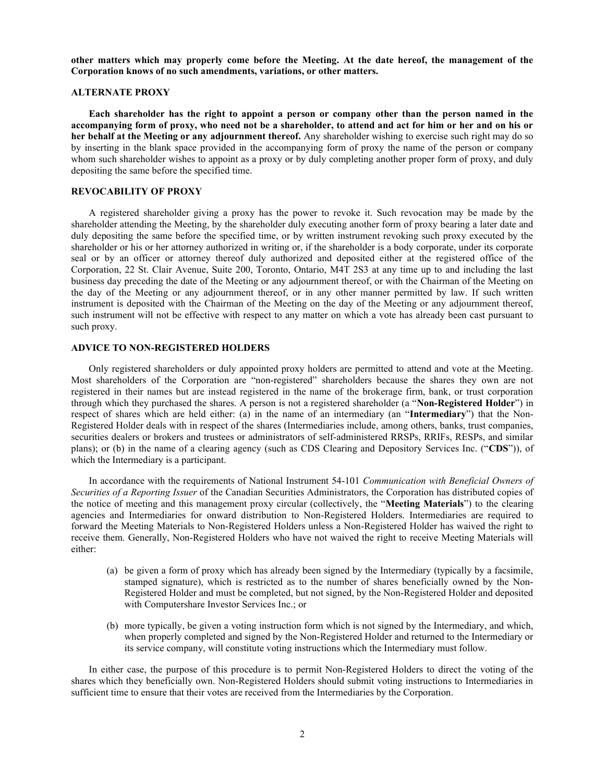other matters which may properly come before the Meeting. At the date hereof, the management of the Corporation knows of no such amendments, variations, or other matters.

## ALTERNATE PROXY

Each shareholder has the right to appoint a person or company other than the person named in the accompanying form of proxy, who need not be a shareholder, to attend and act for him or her and on his or her behalf at the Meeting or any adjournment thereof. Any shareholder wishing to exercise such right may do so by inserting in the blank space provided in the accompanying form of proxy the name of the person or company whom such shareholder wishes to appoint as a proxy or by duly completing another proper form of proxy, and duly depositing the same before the specified time.

### REVOCABILITY OF PROXY

A registered shareholder giving a proxy has the power to revoke it. Such revocation may be made by the shareholder attending the Meeting, by the shareholder duly executing another form of proxy bearing a later date and duly depositing the same before the specified time, or by written instrument revoking such proxy executed by the shareholder or his or her attorney authorized in writing or, if the shareholder is a body corporate, under its corporate seal or by an officer or attorney thereof duly authorized and deposited either at the registered office of the Corporation, 22 St. Clair Avenue, Suite 200, Toronto, Ontario, M4T 2S3 at any time up to and including the last business day preceding the date of the Meeting or any adjournment thereof, or with the Chairman of the Meeting on the day of the Meeting or any adjournment thereof, or in any other manner permitted by law. If such written instrument is deposited with the Chairman of the Meeting on the day of the Meeting or any adjournment thereof, such instrument will not be effective with respect to any matter on which a vote has already been cast pursuant to such proxy.

## ADVICE TO NON-REGISTERED HOLDERS

Only registered shareholders or duly appointed proxy holders are permitted to attend and vote at the Meeting. Most shareholders of the Corporation are "non-registered" shareholders because the shares they own are not registered in their names but are instead registered in the name of the brokerage firm, bank, or trust corporation through which they purchased the shares. A person is not a registered shareholder (a "Non-Registered Holder") in respect of shares which are held either: (a) in the name of an intermediary (an "Intermediary") that the Non-Registered Holder deals with in respect of the shares (Intermediaries include, among others, banks, trust companies, securities dealers or brokers and trustees or administrators of self-administered RRSPs, RRIFs, RESPs, and similar plans); or (b) in the name of a clearing agency (such as CDS Clearing and Depository Services Inc. ("CDS")), of which the Intermediary is a participant.

In accordance with the requirements of National Instrument 54-101 Communication with Beneficial Owners of Securities of a Reporting Issuer of the Canadian Securities Administrators, the Corporation has distributed copies of the notice of meeting and this management proxy circular (collectively, the "Meeting Materials") to the clearing agencies and Intermediaries for onward distribution to Non-Registered Holders. Intermediaries are required to forward the Meeting Materials to Non-Registered Holders unless a Non-Registered Holder has waived the right to receive them. Generally, Non-Registered Holders who have not waived the right to receive Meeting Materials will either:

- (a) be given a form of proxy which has already been signed by the Intermediary (typically by a facsimile, stamped signature), which is restricted as to the number of shares beneficially owned by the Non-Registered Holder and must be completed, but not signed, by the Non-Registered Holder and deposited with Computershare Investor Services Inc.; or
- (b) more typically, be given a voting instruction form which is not signed by the Intermediary, and which, when properly completed and signed by the Non-Registered Holder and returned to the Intermediary or its service company, will constitute voting instructions which the Intermediary must follow.

In either case, the purpose of this procedure is to permit Non-Registered Holders to direct the voting of the shares which they beneficially own. Non-Registered Holders should submit voting instructions to Intermediaries in sufficient time to ensure that their votes are received from the Intermediaries by the Corporation.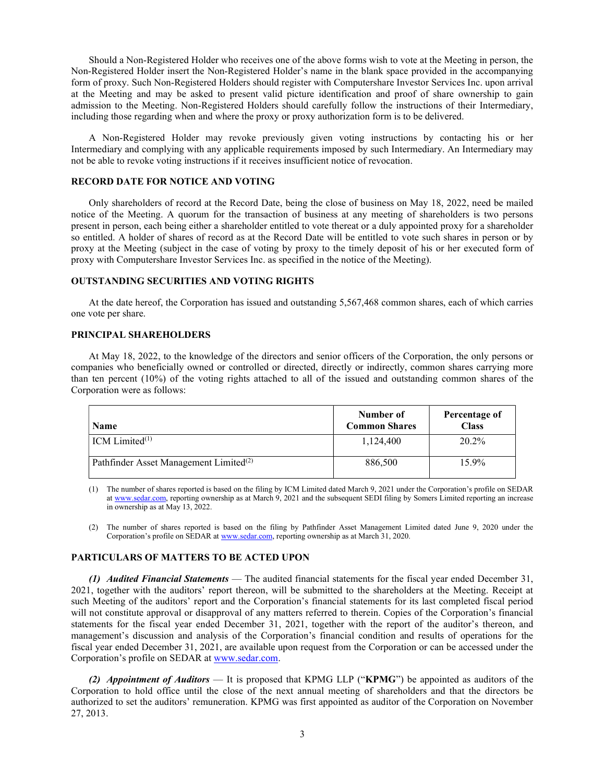Should a Non-Registered Holder who receives one of the above forms wish to vote at the Meeting in person, the Non-Registered Holder insert the Non-Registered Holder's name in the blank space provided in the accompanying form of proxy. Such Non-Registered Holders should register with Computershare Investor Services Inc. upon arrival at the Meeting and may be asked to present valid picture identification and proof of share ownership to gain admission to the Meeting. Non-Registered Holders should carefully follow the instructions of their Intermediary, including those regarding when and where the proxy or proxy authorization form is to be delivered.

A Non-Registered Holder may revoke previously given voting instructions by contacting his or her Intermediary and complying with any applicable requirements imposed by such Intermediary. An Intermediary may not be able to revoke voting instructions if it receives insufficient notice of revocation.

#### RECORD DATE FOR NOTICE AND VOTING

Only shareholders of record at the Record Date, being the close of business on May 18, 2022, need be mailed notice of the Meeting. A quorum for the transaction of business at any meeting of shareholders is two persons present in person, each being either a shareholder entitled to vote thereat or a duly appointed proxy for a shareholder so entitled. A holder of shares of record as at the Record Date will be entitled to vote such shares in person or by proxy at the Meeting (subject in the case of voting by proxy to the timely deposit of his or her executed form of proxy with Computershare Investor Services Inc. as specified in the notice of the Meeting).

#### OUTSTANDING SECURITIES AND VOTING RIGHTS

At the date hereof, the Corporation has issued and outstanding 5,567,468 common shares, each of which carries one vote per share.

#### PRINCIPAL SHAREHOLDERS

At May 18, 2022, to the knowledge of the directors and senior officers of the Corporation, the only persons or companies who beneficially owned or controlled or directed, directly or indirectly, common shares carrying more than ten percent (10%) of the voting rights attached to all of the issued and outstanding common shares of the Corporation were as follows:

| <b>Name</b>                                        | Number of<br><b>Common Shares</b> | Percentage of<br><b>Class</b> |
|----------------------------------------------------|-----------------------------------|-------------------------------|
| $\vert$ ICM Limited <sup>(1)</sup>                 | 1.124.400                         | 20.2%                         |
| Pathfinder Asset Management Limited <sup>(2)</sup> | 886,500                           | 15.9%                         |

(1) The number of shares reported is based on the filing by ICM Limited dated March 9, 2021 under the Corporation's profile on SEDAR at www.sedar.com, reporting ownership as at March 9, 2021 and the subsequent SEDI filing by Somers Limited reporting an increase in ownership as at May 13, 2022.

(2) The number of shares reported is based on the filing by Pathfinder Asset Management Limited dated June 9, 2020 under the Corporation's profile on SEDAR at www.sedar.com, reporting ownership as at March 31, 2020.

#### PARTICULARS OF MATTERS TO BE ACTED UPON

(1) Audited Financial Statements — The audited financial statements for the fiscal year ended December 31, 2021, together with the auditors' report thereon, will be submitted to the shareholders at the Meeting. Receipt at such Meeting of the auditors' report and the Corporation's financial statements for its last completed fiscal period will not constitute approval or disapproval of any matters referred to therein. Copies of the Corporation's financial statements for the fiscal year ended December 31, 2021, together with the report of the auditor's thereon, and management's discussion and analysis of the Corporation's financial condition and results of operations for the fiscal year ended December 31, 2021, are available upon request from the Corporation or can be accessed under the Corporation's profile on SEDAR at www.sedar.com.

(2) Appointment of Auditors — It is proposed that KPMG LLP ("KPMG") be appointed as auditors of the Corporation to hold office until the close of the next annual meeting of shareholders and that the directors be authorized to set the auditors' remuneration. KPMG was first appointed as auditor of the Corporation on November 27, 2013.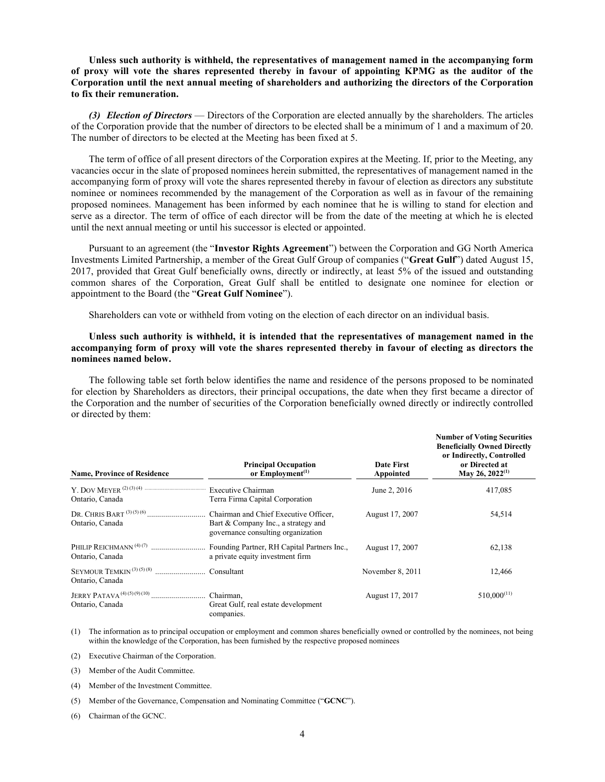Unless such authority is withheld, the representatives of management named in the accompanying form of proxy will vote the shares represented thereby in favour of appointing KPMG as the auditor of the Corporation until the next annual meeting of shareholders and authorizing the directors of the Corporation to fix their remuneration.

(3) Election of Directors — Directors of the Corporation are elected annually by the shareholders. The articles of the Corporation provide that the number of directors to be elected shall be a minimum of 1 and a maximum of 20. The number of directors to be elected at the Meeting has been fixed at 5.

The term of office of all present directors of the Corporation expires at the Meeting. If, prior to the Meeting, any vacancies occur in the slate of proposed nominees herein submitted, the representatives of management named in the accompanying form of proxy will vote the shares represented thereby in favour of election as directors any substitute nominee or nominees recommended by the management of the Corporation as well as in favour of the remaining proposed nominees. Management has been informed by each nominee that he is willing to stand for election and serve as a director. The term of office of each director will be from the date of the meeting at which he is elected until the next annual meeting or until his successor is elected or appointed.

Pursuant to an agreement (the "Investor Rights Agreement") between the Corporation and GG North America Investments Limited Partnership, a member of the Great Gulf Group of companies ("Great Gulf") dated August 15, 2017, provided that Great Gulf beneficially owns, directly or indirectly, at least 5% of the issued and outstanding common shares of the Corporation, Great Gulf shall be entitled to designate one nominee for election or appointment to the Board (the "Great Gulf Nominee").

Shareholders can vote or withheld from voting on the election of each director on an individual basis.

## Unless such authority is withheld, it is intended that the representatives of management named in the accompanying form of proxy will vote the shares represented thereby in favour of electing as directors the nominees named below.

The following table set forth below identifies the name and residence of the persons proposed to be nominated for election by Shareholders as directors, their principal occupations, the date when they first became a director of the Corporation and the number of securities of the Corporation beneficially owned directly or indirectly controlled or directed by them:

| <b>Name, Province of Residence</b> | <b>Principal Occupation</b><br>or Employment <sup>(1)</sup>                                                        | <b>Date First</b><br>Appointed | <b>Number of Voting Securities</b><br><b>Beneficially Owned Directly</b><br>or Indirectly, Controlled<br>or Directed at<br>May 26, 2022 <sup>(1)</sup> |
|------------------------------------|--------------------------------------------------------------------------------------------------------------------|--------------------------------|--------------------------------------------------------------------------------------------------------------------------------------------------------|
| Ontario, Canada                    | Terra Firma Capital Corporation                                                                                    | June 2, 2016                   | 417,085                                                                                                                                                |
| Ontario, Canada                    | Bart & Company Inc., a strategy and<br>governance consulting organization                                          | August 17, 2007                | 54,514                                                                                                                                                 |
| Ontario, Canada                    | PHILIP REICHMANN <sup>(4)(7)</sup> Founding Partner, RH Capital Partners Inc.,<br>a private equity investment firm | August 17, 2007                | 62,138                                                                                                                                                 |
| Ontario, Canada                    |                                                                                                                    | November 8, 2011               | 12,466                                                                                                                                                 |
| Ontario, Canada                    | Great Gulf, real estate development<br>companies.                                                                  | August 17, 2017                | $510,000^{(11)}$                                                                                                                                       |

(1) The information as to principal occupation or employment and common shares beneficially owned or controlled by the nominees, not being within the knowledge of the Corporation, has been furnished by the respective proposed nominees

(2) Executive Chairman of the Corporation.

(3) Member of the Audit Committee.

(4) Member of the Investment Committee.

(5) Member of the Governance, Compensation and Nominating Committee ("GCNC").

(6) Chairman of the GCNC.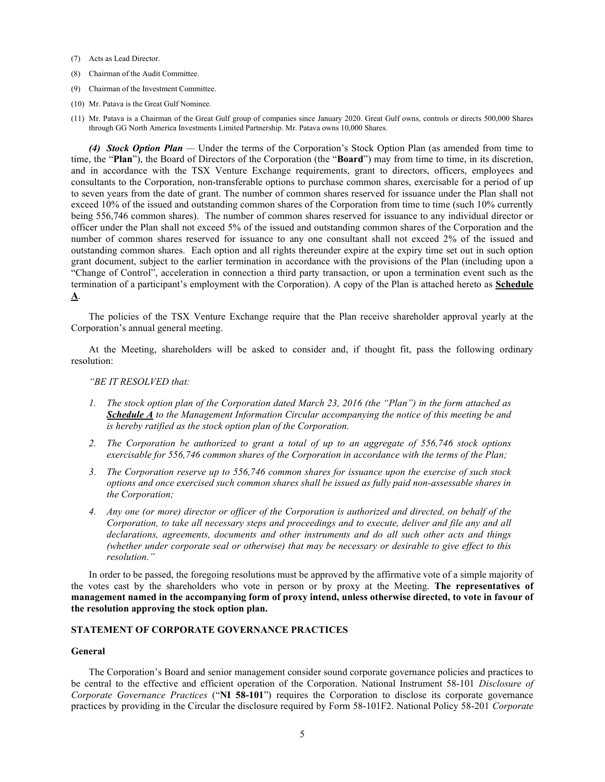- (7) Acts as Lead Director.
- (8) Chairman of the Audit Committee.
- (9) Chairman of the Investment Committee.
- (10) Mr. Patava is the Great Gulf Nominee.
- (11) Mr. Patava is a Chairman of the Great Gulf group of companies since January 2020. Great Gulf owns, controls or directs 500,000 Shares through GG North America Investments Limited Partnership. Mr. Patava owns 10,000 Shares.

(4) Stock Option Plan — Under the terms of the Corporation's Stock Option Plan (as amended from time to time, the "Plan"), the Board of Directors of the Corporation (the "Board") may from time to time, in its discretion, and in accordance with the TSX Venture Exchange requirements, grant to directors, officers, employees and consultants to the Corporation, non-transferable options to purchase common shares, exercisable for a period of up to seven years from the date of grant. The number of common shares reserved for issuance under the Plan shall not exceed 10% of the issued and outstanding common shares of the Corporation from time to time (such 10% currently being 556,746 common shares). The number of common shares reserved for issuance to any individual director or officer under the Plan shall not exceed 5% of the issued and outstanding common shares of the Corporation and the number of common shares reserved for issuance to any one consultant shall not exceed 2% of the issued and outstanding common shares. Each option and all rights thereunder expire at the expiry time set out in such option grant document, subject to the earlier termination in accordance with the provisions of the Plan (including upon a "Change of Control", acceleration in connection a third party transaction, or upon a termination event such as the termination of a participant's employment with the Corporation). A copy of the Plan is attached hereto as Schedule A.

The policies of the TSX Venture Exchange require that the Plan receive shareholder approval yearly at the Corporation's annual general meeting.

At the Meeting, shareholders will be asked to consider and, if thought fit, pass the following ordinary resolution:

### "BE IT RESOLVED that:

- 1. The stock option plan of the Corporation dated March 23, 2016 (the "Plan") in the form attached as Schedule A to the Management Information Circular accompanying the notice of this meeting be and is hereby ratified as the stock option plan of the Corporation.
- 2. The Corporation be authorized to grant a total of up to an aggregate of 556,746 stock options exercisable for 556,746 common shares of the Corporation in accordance with the terms of the Plan;
- 3. The Corporation reserve up to 556,746 common shares for issuance upon the exercise of such stock options and once exercised such common shares shall be issued as fully paid non-assessable shares in the Corporation;
- 4. Any one (or more) director or officer of the Corporation is authorized and directed, on behalf of the Corporation, to take all necessary steps and proceedings and to execute, deliver and file any and all declarations, agreements, documents and other instruments and do all such other acts and things (whether under corporate seal or otherwise) that may be necessary or desirable to give effect to this resolution."

In order to be passed, the foregoing resolutions must be approved by the affirmative vote of a simple majority of the votes cast by the shareholders who vote in person or by proxy at the Meeting. The representatives of management named in the accompanying form of proxy intend, unless otherwise directed, to vote in favour of the resolution approving the stock option plan.

## STATEMENT OF CORPORATE GOVERNANCE PRACTICES

#### General

The Corporation's Board and senior management consider sound corporate governance policies and practices to be central to the effective and efficient operation of the Corporation. National Instrument 58-101 Disclosure of Corporate Governance Practices ("NI 58-101") requires the Corporation to disclose its corporate governance practices by providing in the Circular the disclosure required by Form 58-101F2. National Policy 58-201 Corporate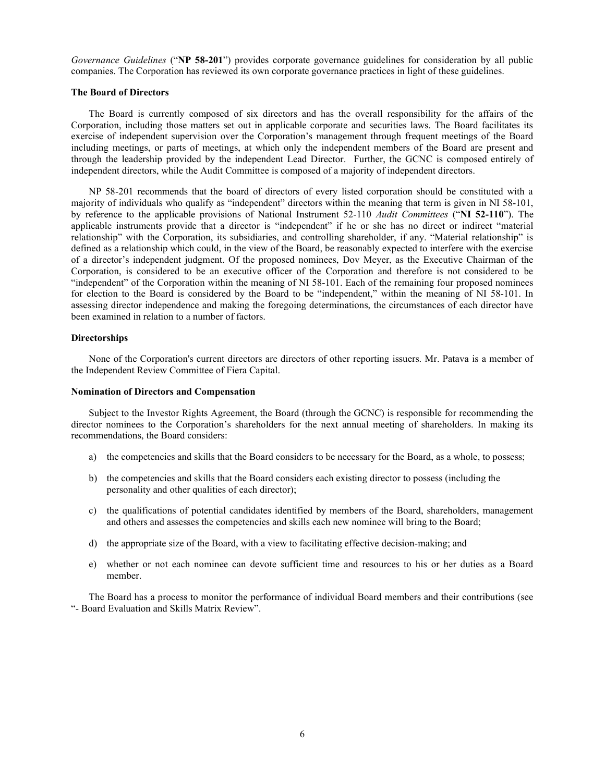Governance Guidelines ("NP 58-201") provides corporate governance guidelines for consideration by all public companies. The Corporation has reviewed its own corporate governance practices in light of these guidelines.

## The Board of Directors

The Board is currently composed of six directors and has the overall responsibility for the affairs of the Corporation, including those matters set out in applicable corporate and securities laws. The Board facilitates its exercise of independent supervision over the Corporation's management through frequent meetings of the Board including meetings, or parts of meetings, at which only the independent members of the Board are present and through the leadership provided by the independent Lead Director. Further, the GCNC is composed entirely of independent directors, while the Audit Committee is composed of a majority of independent directors.

NP 58-201 recommends that the board of directors of every listed corporation should be constituted with a majority of individuals who qualify as "independent" directors within the meaning that term is given in NI 58-101, by reference to the applicable provisions of National Instrument 52-110 *Audit Committees* ("NI 52-110"). The applicable instruments provide that a director is "independent" if he or she has no direct or indirect "material relationship" with the Corporation, its subsidiaries, and controlling shareholder, if any. "Material relationship" is defined as a relationship which could, in the view of the Board, be reasonably expected to interfere with the exercise of a director's independent judgment. Of the proposed nominees, Dov Meyer, as the Executive Chairman of the Corporation, is considered to be an executive officer of the Corporation and therefore is not considered to be "independent" of the Corporation within the meaning of NI 58-101. Each of the remaining four proposed nominees for election to the Board is considered by the Board to be "independent," within the meaning of NI 58-101. In assessing director independence and making the foregoing determinations, the circumstances of each director have been examined in relation to a number of factors.

#### Directorships

None of the Corporation's current directors are directors of other reporting issuers. Mr. Patava is a member of the Independent Review Committee of Fiera Capital.

### Nomination of Directors and Compensation

Subject to the Investor Rights Agreement, the Board (through the GCNC) is responsible for recommending the director nominees to the Corporation's shareholders for the next annual meeting of shareholders. In making its recommendations, the Board considers:

- a) the competencies and skills that the Board considers to be necessary for the Board, as a whole, to possess;
- b) the competencies and skills that the Board considers each existing director to possess (including the personality and other qualities of each director);
- c) the qualifications of potential candidates identified by members of the Board, shareholders, management and others and assesses the competencies and skills each new nominee will bring to the Board;
- d) the appropriate size of the Board, with a view to facilitating effective decision-making; and
- e) whether or not each nominee can devote sufficient time and resources to his or her duties as a Board member.

The Board has a process to monitor the performance of individual Board members and their contributions (see "- Board Evaluation and Skills Matrix Review".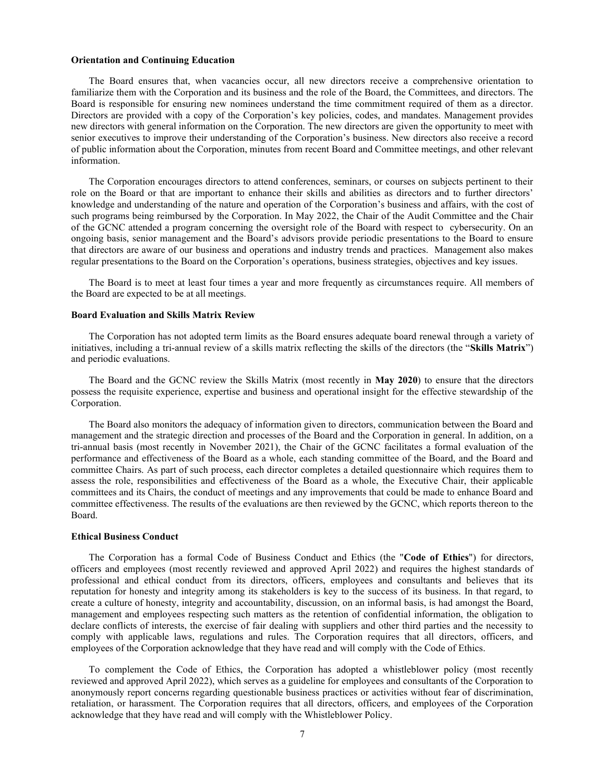#### Orientation and Continuing Education

The Board ensures that, when vacancies occur, all new directors receive a comprehensive orientation to familiarize them with the Corporation and its business and the role of the Board, the Committees, and directors. The Board is responsible for ensuring new nominees understand the time commitment required of them as a director. Directors are provided with a copy of the Corporation's key policies, codes, and mandates. Management provides new directors with general information on the Corporation. The new directors are given the opportunity to meet with senior executives to improve their understanding of the Corporation's business. New directors also receive a record of public information about the Corporation, minutes from recent Board and Committee meetings, and other relevant information.

The Corporation encourages directors to attend conferences, seminars, or courses on subjects pertinent to their role on the Board or that are important to enhance their skills and abilities as directors and to further directors' knowledge and understanding of the nature and operation of the Corporation's business and affairs, with the cost of such programs being reimbursed by the Corporation. In May 2022, the Chair of the Audit Committee and the Chair of the GCNC attended a program concerning the oversight role of the Board with respect to cybersecurity. On an ongoing basis, senior management and the Board's advisors provide periodic presentations to the Board to ensure that directors are aware of our business and operations and industry trends and practices. Management also makes regular presentations to the Board on the Corporation's operations, business strategies, objectives and key issues.

The Board is to meet at least four times a year and more frequently as circumstances require. All members of the Board are expected to be at all meetings.

#### Board Evaluation and Skills Matrix Review

The Corporation has not adopted term limits as the Board ensures adequate board renewal through a variety of initiatives, including a tri-annual review of a skills matrix reflecting the skills of the directors (the "Skills Matrix") and periodic evaluations.

The Board and the GCNC review the Skills Matrix (most recently in May 2020) to ensure that the directors possess the requisite experience, expertise and business and operational insight for the effective stewardship of the Corporation.

The Board also monitors the adequacy of information given to directors, communication between the Board and management and the strategic direction and processes of the Board and the Corporation in general. In addition, on a tri-annual basis (most recently in November 2021), the Chair of the GCNC facilitates a formal evaluation of the performance and effectiveness of the Board as a whole, each standing committee of the Board, and the Board and committee Chairs. As part of such process, each director completes a detailed questionnaire which requires them to assess the role, responsibilities and effectiveness of the Board as a whole, the Executive Chair, their applicable committees and its Chairs, the conduct of meetings and any improvements that could be made to enhance Board and committee effectiveness. The results of the evaluations are then reviewed by the GCNC, which reports thereon to the Board.

#### Ethical Business Conduct

The Corporation has a formal Code of Business Conduct and Ethics (the "Code of Ethics") for directors, officers and employees (most recently reviewed and approved April 2022) and requires the highest standards of professional and ethical conduct from its directors, officers, employees and consultants and believes that its reputation for honesty and integrity among its stakeholders is key to the success of its business. In that regard, to create a culture of honesty, integrity and accountability, discussion, on an informal basis, is had amongst the Board, management and employees respecting such matters as the retention of confidential information, the obligation to declare conflicts of interests, the exercise of fair dealing with suppliers and other third parties and the necessity to comply with applicable laws, regulations and rules. The Corporation requires that all directors, officers, and employees of the Corporation acknowledge that they have read and will comply with the Code of Ethics.

To complement the Code of Ethics, the Corporation has adopted a whistleblower policy (most recently reviewed and approved April 2022), which serves as a guideline for employees and consultants of the Corporation to anonymously report concerns regarding questionable business practices or activities without fear of discrimination, retaliation, or harassment. The Corporation requires that all directors, officers, and employees of the Corporation acknowledge that they have read and will comply with the Whistleblower Policy.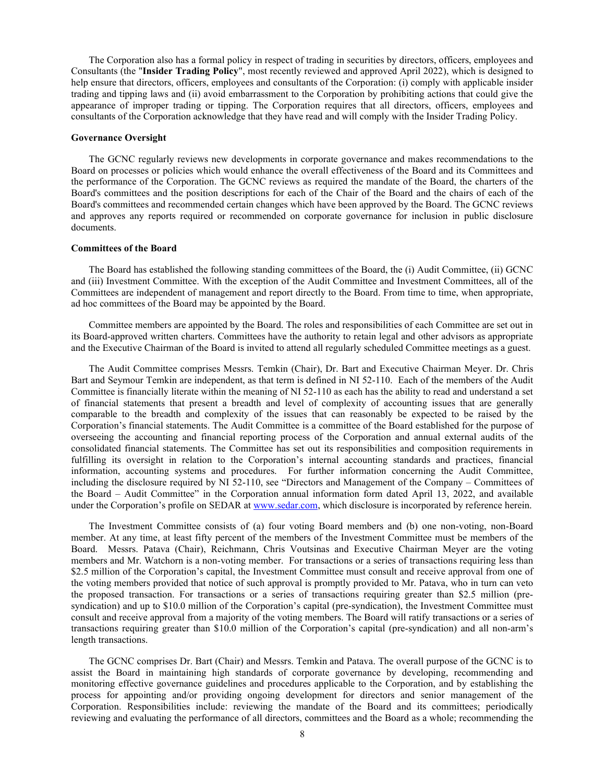The Corporation also has a formal policy in respect of trading in securities by directors, officers, employees and Consultants (the "Insider Trading Policy", most recently reviewed and approved April 2022), which is designed to help ensure that directors, officers, employees and consultants of the Corporation: (i) comply with applicable insider trading and tipping laws and (ii) avoid embarrassment to the Corporation by prohibiting actions that could give the appearance of improper trading or tipping. The Corporation requires that all directors, officers, employees and consultants of the Corporation acknowledge that they have read and will comply with the Insider Trading Policy.

#### Governance Oversight

The GCNC regularly reviews new developments in corporate governance and makes recommendations to the Board on processes or policies which would enhance the overall effectiveness of the Board and its Committees and the performance of the Corporation. The GCNC reviews as required the mandate of the Board, the charters of the Board's committees and the position descriptions for each of the Chair of the Board and the chairs of each of the Board's committees and recommended certain changes which have been approved by the Board. The GCNC reviews and approves any reports required or recommended on corporate governance for inclusion in public disclosure documents.

### Committees of the Board

The Board has established the following standing committees of the Board, the (i) Audit Committee, (ii) GCNC and (iii) Investment Committee. With the exception of the Audit Committee and Investment Committees, all of the Committees are independent of management and report directly to the Board. From time to time, when appropriate, ad hoc committees of the Board may be appointed by the Board.

Committee members are appointed by the Board. The roles and responsibilities of each Committee are set out in its Board-approved written charters. Committees have the authority to retain legal and other advisors as appropriate and the Executive Chairman of the Board is invited to attend all regularly scheduled Committee meetings as a guest.

The Audit Committee comprises Messrs. Temkin (Chair), Dr. Bart and Executive Chairman Meyer. Dr. Chris Bart and Seymour Temkin are independent, as that term is defined in NI 52-110. Each of the members of the Audit Committee is financially literate within the meaning of NI 52-110 as each has the ability to read and understand a set of financial statements that present a breadth and level of complexity of accounting issues that are generally comparable to the breadth and complexity of the issues that can reasonably be expected to be raised by the Corporation's financial statements. The Audit Committee is a committee of the Board established for the purpose of overseeing the accounting and financial reporting process of the Corporation and annual external audits of the consolidated financial statements. The Committee has set out its responsibilities and composition requirements in fulfilling its oversight in relation to the Corporation's internal accounting standards and practices, financial information, accounting systems and procedures. For further information concerning the Audit Committee, including the disclosure required by NI 52-110, see "Directors and Management of the Company – Committees of the Board – Audit Committee" in the Corporation annual information form dated April 13, 2022, and available under the Corporation's profile on SEDAR at www.sedar.com, which disclosure is incorporated by reference herein.

The Investment Committee consists of (a) four voting Board members and (b) one non-voting, non-Board member. At any time, at least fifty percent of the members of the Investment Committee must be members of the Board. Messrs. Patava (Chair), Reichmann, Chris Voutsinas and Executive Chairman Meyer are the voting members and Mr. Watchorn is a non-voting member. For transactions or a series of transactions requiring less than \$2.5 million of the Corporation's capital, the Investment Committee must consult and receive approval from one of the voting members provided that notice of such approval is promptly provided to Mr. Patava, who in turn can veto the proposed transaction. For transactions or a series of transactions requiring greater than \$2.5 million (presyndication) and up to \$10.0 million of the Corporation's capital (pre-syndication), the Investment Committee must consult and receive approval from a majority of the voting members. The Board will ratify transactions or a series of transactions requiring greater than \$10.0 million of the Corporation's capital (pre-syndication) and all non-arm's length transactions.

The GCNC comprises Dr. Bart (Chair) and Messrs. Temkin and Patava. The overall purpose of the GCNC is to assist the Board in maintaining high standards of corporate governance by developing, recommending and monitoring effective governance guidelines and procedures applicable to the Corporation, and by establishing the process for appointing and/or providing ongoing development for directors and senior management of the Corporation. Responsibilities include: reviewing the mandate of the Board and its committees; periodically reviewing and evaluating the performance of all directors, committees and the Board as a whole; recommending the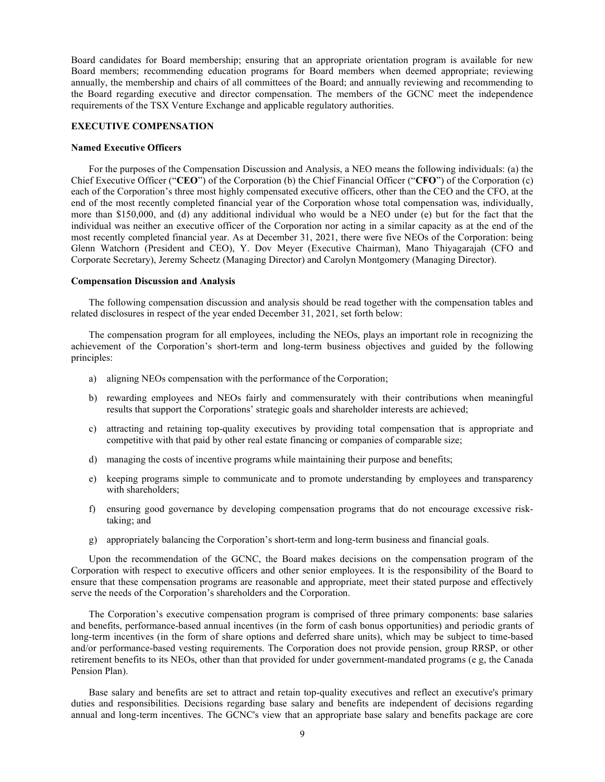Board candidates for Board membership; ensuring that an appropriate orientation program is available for new Board members; recommending education programs for Board members when deemed appropriate; reviewing annually, the membership and chairs of all committees of the Board; and annually reviewing and recommending to the Board regarding executive and director compensation. The members of the GCNC meet the independence requirements of the TSX Venture Exchange and applicable regulatory authorities.

### EXECUTIVE COMPENSATION

#### Named Executive Officers

For the purposes of the Compensation Discussion and Analysis, a NEO means the following individuals: (a) the Chief Executive Officer ("CEO") of the Corporation (b) the Chief Financial Officer ("CFO") of the Corporation (c) each of the Corporation's three most highly compensated executive officers, other than the CEO and the CFO, at the end of the most recently completed financial year of the Corporation whose total compensation was, individually, more than \$150,000, and (d) any additional individual who would be a NEO under (e) but for the fact that the individual was neither an executive officer of the Corporation nor acting in a similar capacity as at the end of the most recently completed financial year. As at December 31, 2021, there were five NEOs of the Corporation: being Glenn Watchorn (President and CEO), Y. Dov Meyer (Executive Chairman), Mano Thiyagarajah (CFO and Corporate Secretary), Jeremy Scheetz (Managing Director) and Carolyn Montgomery (Managing Director).

#### Compensation Discussion and Analysis

The following compensation discussion and analysis should be read together with the compensation tables and related disclosures in respect of the year ended December 31, 2021, set forth below:

The compensation program for all employees, including the NEOs, plays an important role in recognizing the achievement of the Corporation's short-term and long-term business objectives and guided by the following principles:

- a) aligning NEOs compensation with the performance of the Corporation;
- b) rewarding employees and NEOs fairly and commensurately with their contributions when meaningful results that support the Corporations' strategic goals and shareholder interests are achieved;
- c) attracting and retaining top-quality executives by providing total compensation that is appropriate and competitive with that paid by other real estate financing or companies of comparable size;
- d) managing the costs of incentive programs while maintaining their purpose and benefits;
- e) keeping programs simple to communicate and to promote understanding by employees and transparency with shareholders;
- f) ensuring good governance by developing compensation programs that do not encourage excessive risktaking; and
- g) appropriately balancing the Corporation's short-term and long-term business and financial goals.

Upon the recommendation of the GCNC, the Board makes decisions on the compensation program of the Corporation with respect to executive officers and other senior employees. It is the responsibility of the Board to ensure that these compensation programs are reasonable and appropriate, meet their stated purpose and effectively serve the needs of the Corporation's shareholders and the Corporation.

The Corporation's executive compensation program is comprised of three primary components: base salaries and benefits, performance-based annual incentives (in the form of cash bonus opportunities) and periodic grants of long-term incentives (in the form of share options and deferred share units), which may be subject to time-based and/or performance-based vesting requirements. The Corporation does not provide pension, group RRSP, or other retirement benefits to its NEOs, other than that provided for under government-mandated programs (e g, the Canada Pension Plan).

Base salary and benefits are set to attract and retain top-quality executives and reflect an executive's primary duties and responsibilities. Decisions regarding base salary and benefits are independent of decisions regarding annual and long-term incentives. The GCNC's view that an appropriate base salary and benefits package are core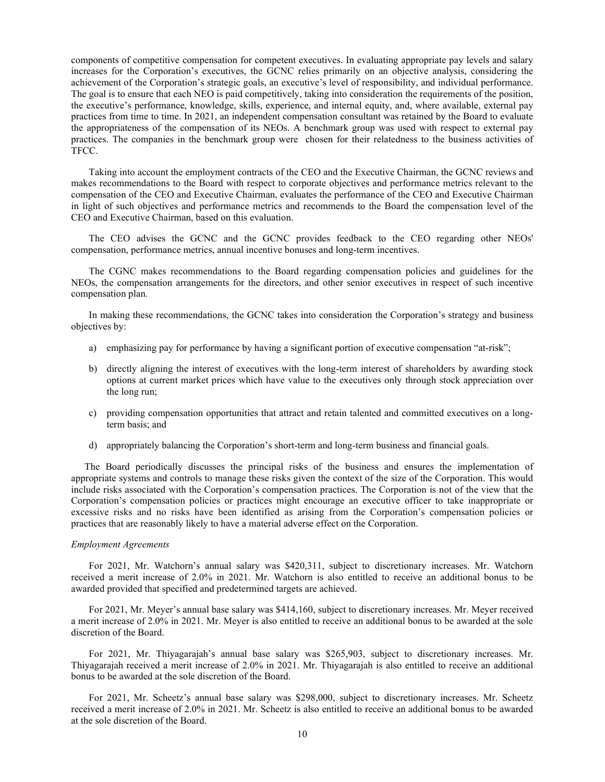components of competitive compensation for competent executives. In evaluating appropriate pay levels and salary increases for the Corporation's executives, the GCNC relies primarily on an objective analysis, considering the achievement of the Corporation's strategic goals, an executive's level of responsibility, and individual performance. The goal is to ensure that each NEO is paid competitively, taking into consideration the requirements of the position, the executive's performance, knowledge, skills, experience, and internal equity, and, where available, external pay practices from time to time. In 2021, an independent compensation consultant was retained by the Board to evaluate the appropriateness of the compensation of its NEOs. A benchmark group was used with respect to external pay practices. The companies in the benchmark group were chosen for their relatedness to the business activities of TFCC.

Taking into account the employment contracts of the CEO and the Executive Chairman, the GCNC reviews and makes recommendations to the Board with respect to corporate objectives and performance metrics relevant to the compensation of the CEO and Executive Chairman, evaluates the performance of the CEO and Executive Chairman in light of such objectives and performance metrics and recommends to the Board the compensation level of the CEO and Executive Chairman, based on this evaluation.

The CEO advises the GCNC and the GCNC provides feedback to the CEO regarding other NEOs' compensation, performance metrics, annual incentive bonuses and long-term incentives.

The CGNC makes recommendations to the Board regarding compensation policies and guidelines for the NEOs, the compensation arrangements for the directors, and other senior executives in respect of such incentive compensation plan.

In making these recommendations, the GCNC takes into consideration the Corporation's strategy and business objectives by:

- a) emphasizing pay for performance by having a significant portion of executive compensation "at-risk";
- b) directly aligning the interest of executives with the long-term interest of shareholders by awarding stock options at current market prices which have value to the executives only through stock appreciation over the long run;
- c) providing compensation opportunities that attract and retain talented and committed executives on a longterm basis; and
- d) appropriately balancing the Corporation's short-term and long-term business and financial goals.

The Board periodically discusses the principal risks of the business and ensures the implementation of appropriate systems and controls to manage these risks given the context of the size of the Corporation. This would include risks associated with the Corporation's compensation practices. The Corporation is not of the view that the Corporation's compensation policies or practices might encourage an executive officer to take inappropriate or excessive risks and no risks have been identified as arising from the Corporation's compensation policies or practices that are reasonably likely to have a material adverse effect on the Corporation.

#### Employment Agreements

For 2021, Mr. Watchorn's annual salary was \$420,311, subject to discretionary increases. Mr. Watchorn received a merit increase of 2.0% in 2021. Mr. Watchorn is also entitled to receive an additional bonus to be awarded provided that specified and predetermined targets are achieved.

For 2021, Mr. Meyer's annual base salary was \$414,160, subject to discretionary increases. Mr. Meyer received a merit increase of 2.0% in 2021. Mr. Meyer is also entitled to receive an additional bonus to be awarded at the sole discretion of the Board.

For 2021, Mr. Thiyagarajah's annual base salary was \$265,903, subject to discretionary increases. Mr. Thiyagarajah received a merit increase of 2.0% in 2021. Mr. Thiyagarajah is also entitled to receive an additional bonus to be awarded at the sole discretion of the Board.

For 2021, Mr. Scheetz's annual base salary was \$298,000, subject to discretionary increases. Mr. Scheetz received a merit increase of 2.0% in 2021. Mr. Scheetz is also entitled to receive an additional bonus to be awarded at the sole discretion of the Board.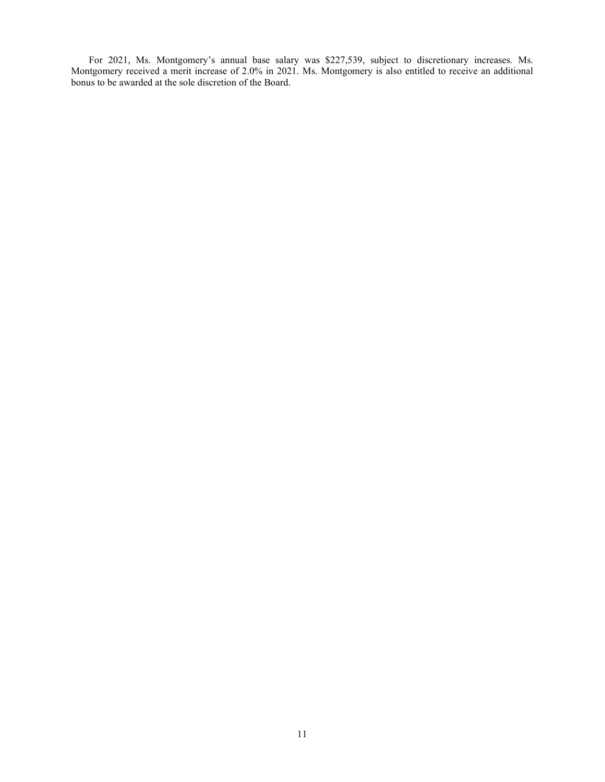For 2021, Ms. Montgomery's annual base salary was \$227,539, subject to discretionary increases. Ms. Montgomery received a merit increase of 2.0% in 2021. Ms. Montgomery is also entitled to receive an additional bonus to be awarded at the sole discretion of the Board.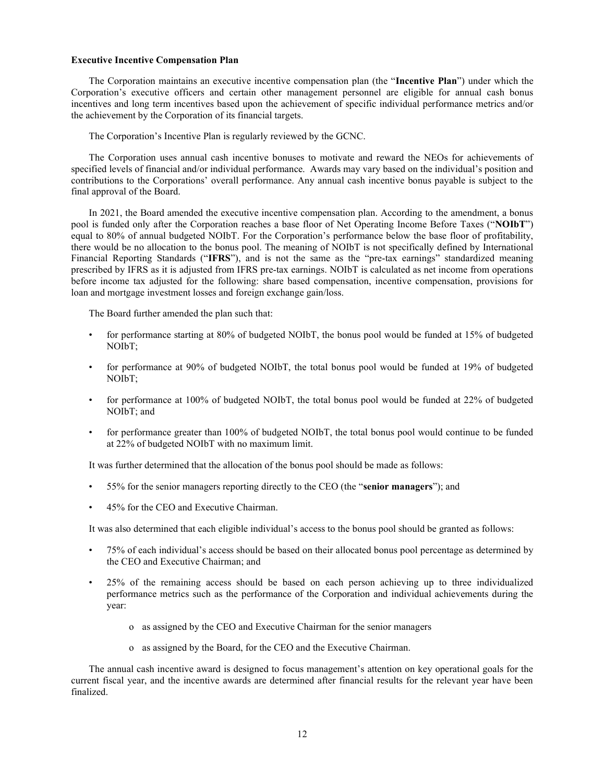#### Executive Incentive Compensation Plan

The Corporation maintains an executive incentive compensation plan (the "Incentive Plan") under which the Corporation's executive officers and certain other management personnel are eligible for annual cash bonus incentives and long term incentives based upon the achievement of specific individual performance metrics and/or the achievement by the Corporation of its financial targets.

The Corporation's Incentive Plan is regularly reviewed by the GCNC.

The Corporation uses annual cash incentive bonuses to motivate and reward the NEOs for achievements of specified levels of financial and/or individual performance. Awards may vary based on the individual's position and contributions to the Corporations' overall performance. Any annual cash incentive bonus payable is subject to the final approval of the Board.

In 2021, the Board amended the executive incentive compensation plan. According to the amendment, a bonus pool is funded only after the Corporation reaches a base floor of Net Operating Income Before Taxes ("NOIbT") equal to 80% of annual budgeted NOIbT. For the Corporation's performance below the base floor of profitability, there would be no allocation to the bonus pool. The meaning of NOIbT is not specifically defined by International Financial Reporting Standards ("IFRS"), and is not the same as the "pre-tax earnings" standardized meaning prescribed by IFRS as it is adjusted from IFRS pre-tax earnings. NOIbT is calculated as net income from operations before income tax adjusted for the following: share based compensation, incentive compensation, provisions for loan and mortgage investment losses and foreign exchange gain/loss.

The Board further amended the plan such that:

- for performance starting at 80% of budgeted NOIbT, the bonus pool would be funded at 15% of budgeted NOIbT;
- for performance at 90% of budgeted NOIbT, the total bonus pool would be funded at 19% of budgeted NOIbT;
- for performance at 100% of budgeted NOIbT, the total bonus pool would be funded at 22% of budgeted NOIbT; and
- for performance greater than 100% of budgeted NOIbT, the total bonus pool would continue to be funded at 22% of budgeted NOIbT with no maximum limit.

It was further determined that the allocation of the bonus pool should be made as follows:

- 55% for the senior managers reporting directly to the CEO (the "senior managers"); and
- 45% for the CEO and Executive Chairman.

It was also determined that each eligible individual's access to the bonus pool should be granted as follows:

- 75% of each individual's access should be based on their allocated bonus pool percentage as determined by the CEO and Executive Chairman; and
- 25% of the remaining access should be based on each person achieving up to three individualized performance metrics such as the performance of the Corporation and individual achievements during the year:
	- o as assigned by the CEO and Executive Chairman for the senior managers
	- o as assigned by the Board, for the CEO and the Executive Chairman.

The annual cash incentive award is designed to focus management's attention on key operational goals for the current fiscal year, and the incentive awards are determined after financial results for the relevant year have been finalized.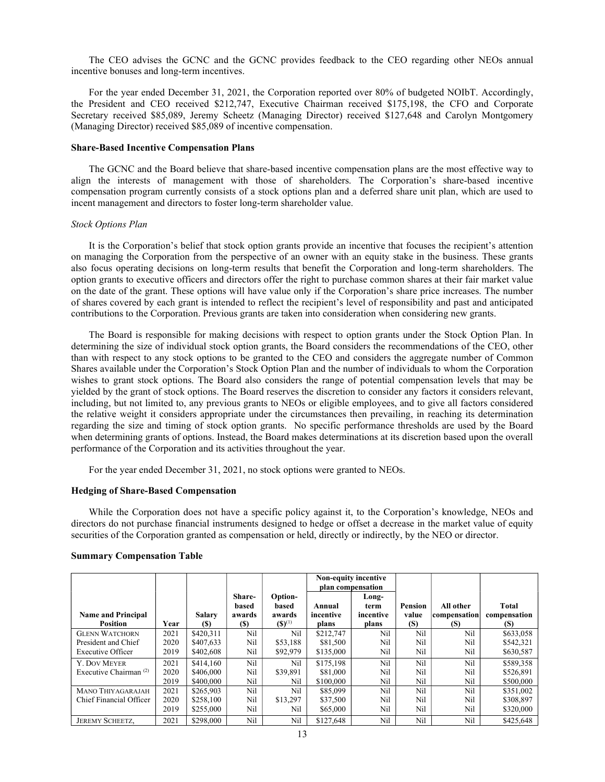The CEO advises the GCNC and the GCNC provides feedback to the CEO regarding other NEOs annual incentive bonuses and long-term incentives.

For the year ended December 31, 2021, the Corporation reported over 80% of budgeted NOIbT. Accordingly, the President and CEO received \$212,747, Executive Chairman received \$175,198, the CFO and Corporate Secretary received \$85,089, Jeremy Scheetz (Managing Director) received \$127,648 and Carolyn Montgomery (Managing Director) received \$85,089 of incentive compensation.

#### Share-Based Incentive Compensation Plans

The GCNC and the Board believe that share-based incentive compensation plans are the most effective way to align the interests of management with those of shareholders. The Corporation's share-based incentive compensation program currently consists of a stock options plan and a deferred share unit plan, which are used to incent management and directors to foster long-term shareholder value.

#### Stock Options Plan

It is the Corporation's belief that stock option grants provide an incentive that focuses the recipient's attention on managing the Corporation from the perspective of an owner with an equity stake in the business. These grants also focus operating decisions on long-term results that benefit the Corporation and long-term shareholders. The option grants to executive officers and directors offer the right to purchase common shares at their fair market value on the date of the grant. These options will have value only if the Corporation's share price increases. The number of shares covered by each grant is intended to reflect the recipient's level of responsibility and past and anticipated contributions to the Corporation. Previous grants are taken into consideration when considering new grants.

The Board is responsible for making decisions with respect to option grants under the Stock Option Plan. In determining the size of individual stock option grants, the Board considers the recommendations of the CEO, other than with respect to any stock options to be granted to the CEO and considers the aggregate number of Common Shares available under the Corporation's Stock Option Plan and the number of individuals to whom the Corporation wishes to grant stock options. The Board also considers the range of potential compensation levels that may be yielded by the grant of stock options. The Board reserves the discretion to consider any factors it considers relevant, including, but not limited to, any previous grants to NEOs or eligible employees, and to give all factors considered the relative weight it considers appropriate under the circumstances then prevailing, in reaching its determination regarding the size and timing of stock option grants. No specific performance thresholds are used by the Board when determining grants of options. Instead, the Board makes determinations at its discretion based upon the overall performance of the Corporation and its activities throughout the year.

For the year ended December 31, 2021, no stock options were granted to NEOs.

#### Hedging of Share-Based Compensation

While the Corporation does not have a specific policy against it, to the Corporation's knowledge, NEOs and directors do not purchase financial instruments designed to hedge or offset a decrease in the market value of equity securities of the Corporation granted as compensation or held, directly or indirectly, by the NEO or director.

|                                                                          |                      |                                     |                                         |                                           |                                    | <b>Non-equity incentive</b><br>plan compensation |                         |                                  |                                     |
|--------------------------------------------------------------------------|----------------------|-------------------------------------|-----------------------------------------|-------------------------------------------|------------------------------------|--------------------------------------------------|-------------------------|----------------------------------|-------------------------------------|
| <b>Name and Principal</b><br><b>Position</b>                             | Year                 | <b>Salary</b><br>(S)                | Share-<br>based<br>awards<br><b>(S)</b> | Option-<br>based<br>awards<br>$(S)^{(1)}$ | Annual<br>incentive<br>plans       | Long-<br>term<br>incentive<br>plans              | Pension<br>value<br>(S) | All other<br>compensation<br>(S) | Total<br>compensation<br>(S)        |
| <b>GLENN WATCHORN</b><br>President and Chief<br><b>Executive Officer</b> | 2021<br>2020<br>2019 | \$420,311<br>\$407,633<br>\$402,608 | Nil<br>Nil<br>Nil                       | Nil<br>\$53,188<br>\$92,979               | \$212,747<br>\$81,500<br>\$135,000 | Nil<br>Nil<br>Nil                                | Nil<br>Nil<br>Nil       | Nil<br>Nil<br>Nil                | \$633,058<br>\$542,321<br>\$630,587 |
| <b>Y. DOV MEYER</b><br>Executive Chairman <sup>(2)</sup>                 | 2021<br>2020<br>2019 | \$414,160<br>\$406,000<br>\$400,000 | Nil<br>Nil<br>Nil                       | Nil<br>\$39,891<br>Nil                    | \$175,198<br>\$81,000<br>\$100,000 | Nil<br>Nil<br>Nil                                | Nil<br>Nil<br>Nil       | Nil<br>Nil<br>Nil                | \$589,358<br>\$526,891<br>\$500,000 |
| MANO THIYAGARAJAH<br>Chief Financial Officer                             | 2021<br>2020<br>2019 | \$265,903<br>\$258,100<br>\$255,000 | Nil<br>Nil<br>Nil                       | Nil<br>\$13,297<br>Nil                    | \$85,099<br>\$37,500<br>\$65,000   | Nil<br>Nil<br>Nil                                | Nil<br>Nil<br>Nil       | Nil<br>Nil<br>Nil                | \$351,002<br>\$308,897<br>\$320,000 |
| <b>JEREMY SCHEETZ.</b>                                                   | 2021                 | \$298,000                           | Nil                                     | Nil                                       | \$127,648                          | Nil                                              | Nil                     | Nil                              | \$425,648                           |

#### Summary Compensation Table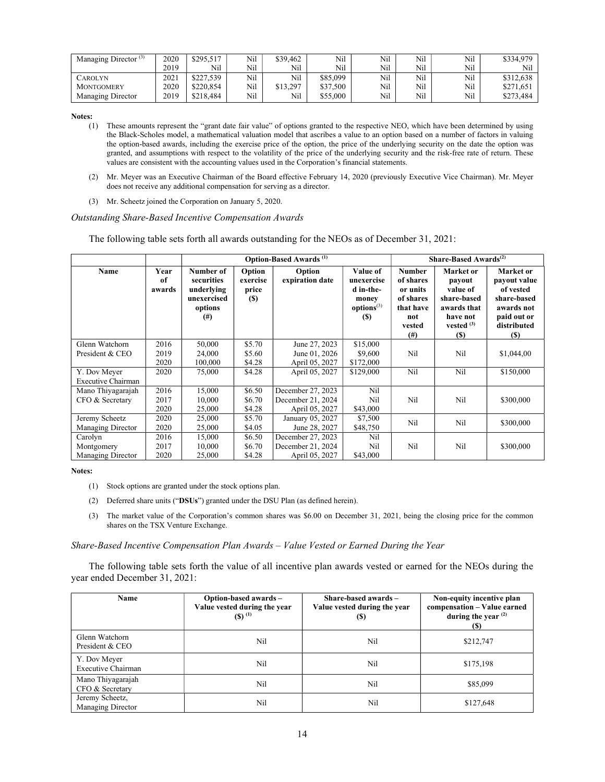| Managing Director $(3)$ | 2020 | \$295.517 | Nil | \$39,462 | Nil      | Nil | Nil | Nil | \$334,979 |
|-------------------------|------|-----------|-----|----------|----------|-----|-----|-----|-----------|
|                         | 2019 | Nil       | Nil | Nil      | Nil      | Nil | Nil | Nil | Nil       |
| <b>CAROLYN</b>          | 2021 | \$227,539 | Nil | Nil      | \$85,099 | Nil | Nil | Nil | \$312,638 |
| <b>MONTGOMERY</b>       | 2020 | \$220,854 | Nil | \$13,297 | \$37,500 | Nil | Nil | Nil | \$271.651 |
| Managing Director       | 2019 | \$218,484 | Nil | Nil      | \$55,000 | Nil | Nil | Nil | \$273,484 |

Notes:

- (1) These amounts represent the "grant date fair value" of options granted to the respective NEO, which have been determined by using the Black-Scholes model, a mathematical valuation model that ascribes a value to an option based on a number of factors in valuing the option-based awards, including the exercise price of the option, the price of the underlying security on the date the option was granted, and assumptions with respect to the volatility of the price of the underlying security and the risk-free rate of return. These values are consistent with the accounting values used in the Corporation's financial statements.
- (2) Mr. Meyer was an Executive Chairman of the Board effective February 14, 2020 (previously Executive Vice Chairman). Mr. Meyer does not receive any additional compensation for serving as a director.
- (3) Mr. Scheetz joined the Corporation on January 5, 2020.

#### Outstanding Share-Based Incentive Compensation Awards

The following table sets forth all awards outstanding for the NEOs as of December 31, 2021:

|                                    |                      |                                                                             |                                           | <b>Option-Based Awards</b> <sup>(1)</sup> |                                                                                      | Share-Based Awards <sup>(2)</sup>                                                             |                                                                                                         |                                                                                                                 |
|------------------------------------|----------------------|-----------------------------------------------------------------------------|-------------------------------------------|-------------------------------------------|--------------------------------------------------------------------------------------|-----------------------------------------------------------------------------------------------|---------------------------------------------------------------------------------------------------------|-----------------------------------------------------------------------------------------------------------------|
| Name                               | Year<br>of<br>awards | Number of<br>securities<br>underlying<br>unexercised<br>options<br>$^{(#)}$ | Option<br>exercise<br>price<br><b>(S)</b> | Option<br>expiration date                 | Value of<br>unexercise<br>d in-the-<br>money<br>options <sup>(3)</sup><br><b>(S)</b> | <b>Number</b><br>of shares<br>or units<br>of shares<br>that have<br>not<br>vested<br>$^{(#)}$ | Market or<br>payout<br>value of<br>share-based<br>awards that<br>have not<br>vested $(3)$<br><b>(S)</b> | Market or<br>payout value<br>of vested<br>share-based<br>awards not<br>paid out or<br>distributed<br><b>(S)</b> |
| Glenn Watchorn<br>President & CEO  | 2016<br>2019         | 50,000<br>24,000                                                            | \$5.70<br>\$5.60                          | June 27, 2023<br>June 01, 2026            | \$15,000<br>\$9,600                                                                  | Nil                                                                                           | Nil                                                                                                     | \$1,044,00                                                                                                      |
|                                    | 2020                 | 100,000                                                                     | \$4.28                                    | April 05, 2027                            | \$172,000                                                                            |                                                                                               |                                                                                                         |                                                                                                                 |
| Y. Dov Meyer<br>Executive Chairman | 2020                 | 75,000                                                                      | \$4.28                                    | April 05, 2027                            | \$129,000                                                                            | Nil                                                                                           | Nil                                                                                                     | \$150,000                                                                                                       |
| Mano Thiyagarajah                  | 2016                 | 15,000                                                                      | \$6.50                                    | December 27, 2023                         | Nil                                                                                  |                                                                                               |                                                                                                         |                                                                                                                 |
| CFO & Secretary                    | 2017                 | 10,000                                                                      | \$6.70                                    | December 21, 2024                         | Nil                                                                                  | Nil                                                                                           | Nil                                                                                                     | \$300,000                                                                                                       |
|                                    | 2020                 | 25,000                                                                      | \$4.28                                    | April 05, 2027                            | \$43,000                                                                             |                                                                                               |                                                                                                         |                                                                                                                 |
| Jeremy Scheetz                     | 2020                 | 25,000                                                                      | \$5.70                                    | January 05, 2027                          | \$7,500                                                                              | Nil                                                                                           | Nil                                                                                                     | \$300,000                                                                                                       |
| Managing Director                  | 2020                 | 25,000                                                                      | \$4.05                                    | June 28, 2027                             | \$48,750                                                                             |                                                                                               |                                                                                                         |                                                                                                                 |
| Carolyn                            | 2016                 | 15,000                                                                      | \$6.50                                    | December 27, 2023                         | Nil                                                                                  |                                                                                               |                                                                                                         |                                                                                                                 |
| Montgomery                         | 2017                 | 10,000                                                                      | \$6.70                                    | December 21, 2024                         | Nil                                                                                  | Nil                                                                                           | Nil                                                                                                     | \$300,000                                                                                                       |
| Managing Director                  | 2020                 | 25,000                                                                      | \$4.28                                    | April 05, 2027                            | \$43,000                                                                             |                                                                                               |                                                                                                         |                                                                                                                 |

Notes:

- (1) Stock options are granted under the stock options plan.
- (2) Deferred share units ("DSUs") granted under the DSU Plan (as defined herein).
- (3) The market value of the Corporation's common shares was \$6.00 on December 31, 2021, being the closing price for the common shares on the TSX Venture Exchange.

#### Share-Based Incentive Compensation Plan Awards – Value Vested or Earned During the Year

The following table sets forth the value of all incentive plan awards vested or earned for the NEOs during the year ended December 31, 2021:

| Name                                 | Option-based awards-<br>Value vested during the year<br>$(5)^{(1)}$ | Share-based awards $-$<br>Value vested during the year<br>(S) | Non-equity incentive plan<br>compensation - Value earned<br>during the year $(2)$<br>(S) |
|--------------------------------------|---------------------------------------------------------------------|---------------------------------------------------------------|------------------------------------------------------------------------------------------|
| Glenn Watchorn<br>President & CEO    | Nil                                                                 | Nil                                                           | \$212,747                                                                                |
| Y. Dov Meyer<br>Executive Chairman   | Nil                                                                 | Nil                                                           | \$175,198                                                                                |
| Mano Thiyagarajah<br>CFO & Secretary | Nil                                                                 | Nil                                                           | \$85,099                                                                                 |
| Jeremy Scheetz,<br>Managing Director | Nil                                                                 | Nil                                                           | \$127,648                                                                                |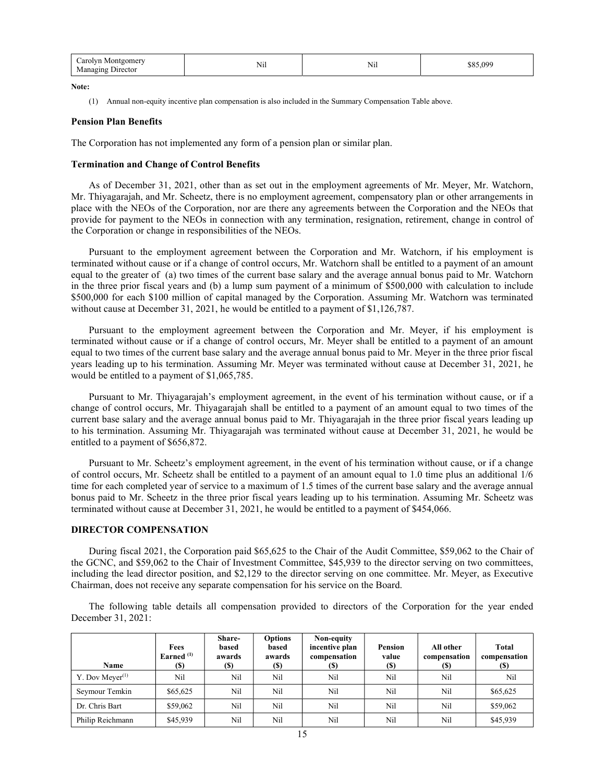| `arolvn<br>ontgomery<br><b>N</b><br>.<br>Nŀ<br><b>TATE</b><br>--<br><b>Jurector</b> | $  -$<br>N11 | nac<br>ħΩ<br>.<br>`` |
|-------------------------------------------------------------------------------------|--------------|----------------------|
|-------------------------------------------------------------------------------------|--------------|----------------------|

Note:

(1) Annual non-equity incentive plan compensation is also included in the Summary Compensation Table above.

#### Pension Plan Benefits

The Corporation has not implemented any form of a pension plan or similar plan.

#### Termination and Change of Control Benefits

As of December 31, 2021, other than as set out in the employment agreements of Mr. Meyer, Mr. Watchorn, Mr. Thiyagarajah, and Mr. Scheetz, there is no employment agreement, compensatory plan or other arrangements in place with the NEOs of the Corporation, nor are there any agreements between the Corporation and the NEOs that provide for payment to the NEOs in connection with any termination, resignation, retirement, change in control of the Corporation or change in responsibilities of the NEOs.

Pursuant to the employment agreement between the Corporation and Mr. Watchorn, if his employment is terminated without cause or if a change of control occurs, Mr. Watchorn shall be entitled to a payment of an amount equal to the greater of (a) two times of the current base salary and the average annual bonus paid to Mr. Watchorn in the three prior fiscal years and (b) a lump sum payment of a minimum of \$500,000 with calculation to include \$500,000 for each \$100 million of capital managed by the Corporation. Assuming Mr. Watchorn was terminated without cause at December 31, 2021, he would be entitled to a payment of \$1,126,787.

Pursuant to the employment agreement between the Corporation and Mr. Meyer, if his employment is terminated without cause or if a change of control occurs, Mr. Meyer shall be entitled to a payment of an amount equal to two times of the current base salary and the average annual bonus paid to Mr. Meyer in the three prior fiscal years leading up to his termination. Assuming Mr. Meyer was terminated without cause at December 31, 2021, he would be entitled to a payment of \$1,065,785.

Pursuant to Mr. Thiyagarajah's employment agreement, in the event of his termination without cause, or if a change of control occurs, Mr. Thiyagarajah shall be entitled to a payment of an amount equal to two times of the current base salary and the average annual bonus paid to Mr. Thiyagarajah in the three prior fiscal years leading up to his termination. Assuming Mr. Thiyagarajah was terminated without cause at December 31, 2021, he would be entitled to a payment of \$656,872.

Pursuant to Mr. Scheetz's employment agreement, in the event of his termination without cause, or if a change of control occurs, Mr. Scheetz shall be entitled to a payment of an amount equal to 1.0 time plus an additional 1/6 time for each completed year of service to a maximum of 1.5 times of the current base salary and the average annual bonus paid to Mr. Scheetz in the three prior fiscal years leading up to his termination. Assuming Mr. Scheetz was terminated without cause at December 31, 2021, he would be entitled to a payment of \$454,066.

#### DIRECTOR COMPENSATION

During fiscal 2021, the Corporation paid \$65,625 to the Chair of the Audit Committee, \$59,062 to the Chair of the GCNC, and \$59,062 to the Chair of Investment Committee, \$45,939 to the director serving on two committees, including the lead director position, and \$2,129 to the director serving on one committee. Mr. Meyer, as Executive Chairman, does not receive any separate compensation for his service on the Board.

The following table details all compensation provided to directors of the Corporation for the year ended December 31, 2021:

| <b>Name</b>        | Fees<br>Earned $(1)$<br>(S) | Share-<br>based<br>awards<br>(\$) | <b>Options</b><br>based<br>awards<br><b>(S)</b> | Non-equity<br>incentive plan<br>compensation<br>(S) | Pension<br>value<br><b>(\$)</b> | All other<br>compensation<br>(S) | Total<br>compensation<br>(S) |
|--------------------|-----------------------------|-----------------------------------|-------------------------------------------------|-----------------------------------------------------|---------------------------------|----------------------------------|------------------------------|
| Y. Dov Meyer $(1)$ | Nil                         | Nil                               | Nil                                             | Nil                                                 | Nil                             | Nil                              | Nil                          |
| Seymour Temkin     | \$65,625                    | Nil                               | Nil                                             | Nil                                                 | Nil                             | Nil                              | \$65,625                     |
| Dr. Chris Bart     | \$59,062                    | Nil                               | Nil                                             | Nil                                                 | Nil                             | Nil                              | \$59,062                     |
| Philip Reichmann   | \$45,939                    | Nil                               | Nil                                             | Nil                                                 | Nil                             | Nil                              | \$45,939                     |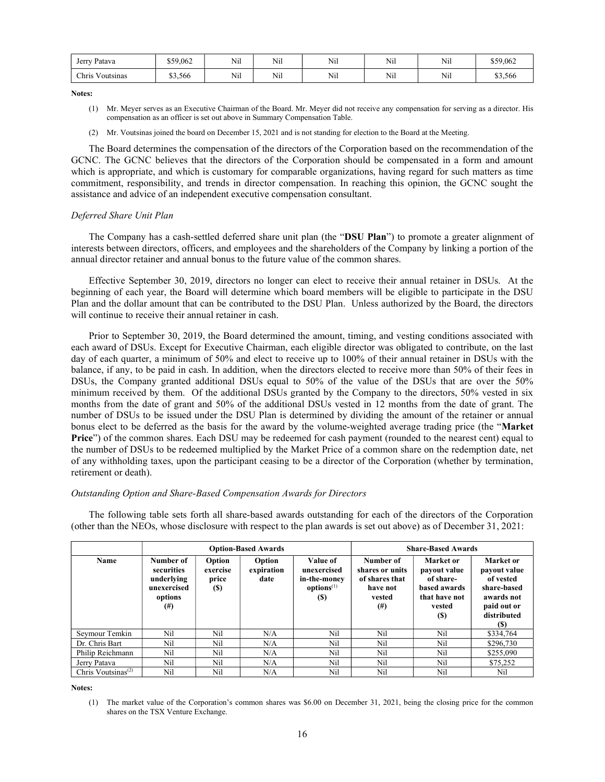| Patava<br>Jerry            | \$59,062<br>۰υ. | $ -$<br>N1l | $\mathbf{v}$<br>N1l | Nil | Nil | Nil                 | \$59,062 |
|----------------------------|-----------------|-------------|---------------------|-----|-----|---------------------|----------|
| $ -$<br>Chris<br>Voutsinas | ሰሳ<br>\$3,566   | 3.71<br>N11 | $\sim$ $-1$<br>N1l  | Nil | Nil | $\mathbf{v}$<br>Nil | \$3,566  |

Notes:

- (1) Mr. Meyer serves as an Executive Chairman of the Board. Mr. Meyer did not receive any compensation for serving as a director. His compensation as an officer is set out above in Summary Compensation Table.
- (2) Mr. Voutsinas joined the board on December 15, 2021 and is not standing for election to the Board at the Meeting.

The Board determines the compensation of the directors of the Corporation based on the recommendation of the GCNC. The GCNC believes that the directors of the Corporation should be compensated in a form and amount which is appropriate, and which is customary for comparable organizations, having regard for such matters as time commitment, responsibility, and trends in director compensation. In reaching this opinion, the GCNC sought the assistance and advice of an independent executive compensation consultant.

## Deferred Share Unit Plan

The Company has a cash-settled deferred share unit plan (the "DSU Plan") to promote a greater alignment of interests between directors, officers, and employees and the shareholders of the Company by linking a portion of the annual director retainer and annual bonus to the future value of the common shares.

Effective September 30, 2019, directors no longer can elect to receive their annual retainer in DSUs. At the beginning of each year, the Board will determine which board members will be eligible to participate in the DSU Plan and the dollar amount that can be contributed to the DSU Plan. Unless authorized by the Board, the directors will continue to receive their annual retainer in cash.

Prior to September 30, 2019, the Board determined the amount, timing, and vesting conditions associated with each award of DSUs. Except for Executive Chairman, each eligible director was obligated to contribute, on the last day of each quarter, a minimum of 50% and elect to receive up to 100% of their annual retainer in DSUs with the balance, if any, to be paid in cash. In addition, when the directors elected to receive more than 50% of their fees in DSUs, the Company granted additional DSUs equal to 50% of the value of the DSUs that are over the 50% minimum received by them. Of the additional DSUs granted by the Company to the directors, 50% vested in six months from the date of grant and 50% of the additional DSUs vested in 12 months from the date of grant. The number of DSUs to be issued under the DSU Plan is determined by dividing the amount of the retainer or annual bonus elect to be deferred as the basis for the award by the volume-weighted average trading price (the "Market Price") of the common shares. Each DSU may be redeemed for cash payment (rounded to the nearest cent) equal to the number of DSUs to be redeemed multiplied by the Market Price of a common share on the redemption date, net of any withholding taxes, upon the participant ceasing to be a director of the Corporation (whether by termination, retirement or death).

### Outstanding Option and Share-Based Compensation Awards for Directors

The following table sets forth all share-based awards outstanding for each of the directors of the Corporation (other than the NEOs, whose disclosure with respect to the plan awards is set out above) as of December 31, 2021:

|                                             |                                                                             |                                           | <b>Option-Based Awards</b>   | <b>Share-Based Awards</b>                                                       |                                                                                  |                                                                                                        |                                                                                                                 |
|---------------------------------------------|-----------------------------------------------------------------------------|-------------------------------------------|------------------------------|---------------------------------------------------------------------------------|----------------------------------------------------------------------------------|--------------------------------------------------------------------------------------------------------|-----------------------------------------------------------------------------------------------------------------|
| Name                                        | Number of<br>securities<br>underlying<br>unexercised<br>options<br>$^{(#)}$ | Option<br>exercise<br>price<br><b>(S)</b> | Option<br>expiration<br>date | Value of<br>unexercised<br>in-the-money<br>options <sup>(1)</sup><br><b>(S)</b> | Number of<br>shares or units<br>of shares that<br>have not<br>vested<br>$^{(#)}$ | <b>Market</b> or<br>payout value<br>of share-<br>based awards<br>that have not<br>vested<br><b>(S)</b> | <b>Market</b> or<br>payout value<br>of vested<br>share-based<br>awards not<br>paid out or<br>distributed<br>(S) |
| Seymour Temkin                              | Nil                                                                         | Nil                                       | N/A                          | Nil                                                                             | Nil                                                                              | Nil                                                                                                    | \$334,764                                                                                                       |
| Dr. Chris Bart                              | Nil                                                                         | Nil                                       | N/A                          | Nil                                                                             | Nil                                                                              | Nil                                                                                                    | \$296,730                                                                                                       |
| Philip Reichmann                            | Nil                                                                         | Nil                                       | N/A                          | Nil                                                                             | Nil                                                                              | Nil                                                                                                    | \$255,090                                                                                                       |
| Jerry Patava                                | Nil                                                                         | Nil                                       | N/A                          | Nil                                                                             | Nil                                                                              | Nil                                                                                                    | \$75,252                                                                                                        |
| Chris Voutsinas <sup><math>(2)</math></sup> | Nil                                                                         | Nil                                       | N/A                          | Nil                                                                             | Nil                                                                              | Nil                                                                                                    | Nil                                                                                                             |

Notes:

<sup>(1)</sup> The market value of the Corporation's common shares was \$6.00 on December 31, 2021, being the closing price for the common shares on the TSX Venture Exchange.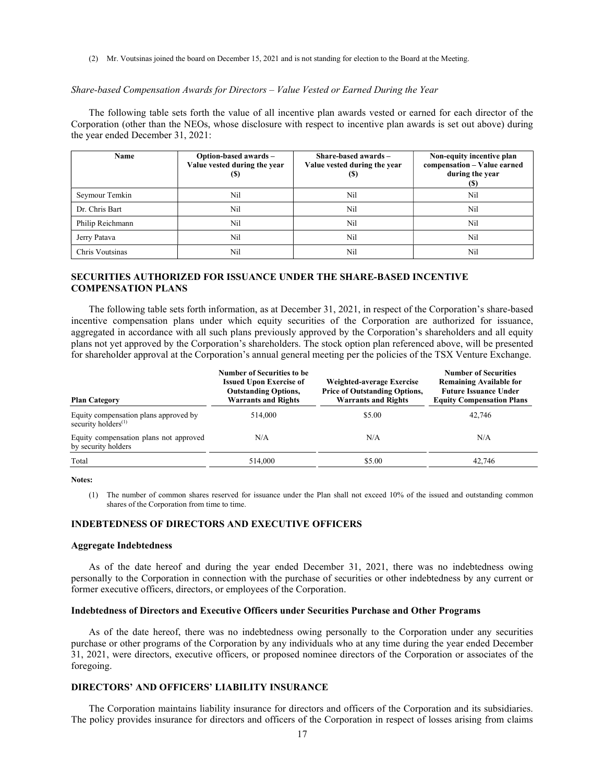(2) Mr. Voutsinas joined the board on December 15, 2021 and is not standing for election to the Board at the Meeting.

#### Share-based Compensation Awards for Directors – Value Vested or Earned During the Year

The following table sets forth the value of all incentive plan awards vested or earned for each director of the Corporation (other than the NEOs, whose disclosure with respect to incentive plan awards is set out above) during the year ended December 31, 2021:

| Name             | Option-based awards -<br>Value vested during the year<br>(S) | Share-based awards -<br>Value vested during the year<br>(S) | Non-equity incentive plan<br>compensation - Value earned<br>during the year<br>(S) |
|------------------|--------------------------------------------------------------|-------------------------------------------------------------|------------------------------------------------------------------------------------|
| Seymour Temkin   | Nil                                                          | Nil                                                         | Nil                                                                                |
| Dr. Chris Bart   | Nil                                                          | Nil                                                         | Nil                                                                                |
| Philip Reichmann | Nil                                                          | Nil                                                         | Nil                                                                                |
| Jerry Patava     | Nil                                                          | Nil                                                         | Nil                                                                                |
| Chris Voutsinas  | Nil                                                          | Nil                                                         | Nil                                                                                |

## SECURITIES AUTHORIZED FOR ISSUANCE UNDER THE SHARE-BASED INCENTIVE COMPENSATION PLANS

The following table sets forth information, as at December 31, 2021, in respect of the Corporation's share-based incentive compensation plans under which equity securities of the Corporation are authorized for issuance, aggregated in accordance with all such plans previously approved by the Corporation's shareholders and all equity plans not yet approved by the Corporation's shareholders. The stock option plan referenced above, will be presented for shareholder approval at the Corporation's annual general meeting per the policies of the TSX Venture Exchange.

| <b>Plan Category</b>                                            | <b>Number of Securities to be</b><br><b>Issued Upon Exercise of</b><br><b>Outstanding Options,</b><br><b>Warrants and Rights</b> | Weighted-average Exercise<br><b>Price of Outstanding Options,</b><br><b>Warrants and Rights</b> | <b>Number of Securities</b><br><b>Remaining Available for</b><br><b>Future Issuance Under</b><br><b>Equity Compensation Plans</b> |
|-----------------------------------------------------------------|----------------------------------------------------------------------------------------------------------------------------------|-------------------------------------------------------------------------------------------------|-----------------------------------------------------------------------------------------------------------------------------------|
| Equity compensation plans approved by<br>security holders $(1)$ | 514,000                                                                                                                          | \$5.00                                                                                          | 42,746                                                                                                                            |
| Equity compensation plans not approved<br>by security holders   | N/A                                                                                                                              | N/A                                                                                             | N/A                                                                                                                               |
| Total                                                           | 514,000                                                                                                                          | \$5.00                                                                                          | 42.746                                                                                                                            |

Notes:

(1) The number of common shares reserved for issuance under the Plan shall not exceed 10% of the issued and outstanding common shares of the Corporation from time to time.

### INDEBTEDNESS OF DIRECTORS AND EXECUTIVE OFFICERS

#### Aggregate Indebtedness

As of the date hereof and during the year ended December 31, 2021, there was no indebtedness owing personally to the Corporation in connection with the purchase of securities or other indebtedness by any current or former executive officers, directors, or employees of the Corporation.

### Indebtedness of Directors and Executive Officers under Securities Purchase and Other Programs

As of the date hereof, there was no indebtedness owing personally to the Corporation under any securities purchase or other programs of the Corporation by any individuals who at any time during the year ended December 31, 2021, were directors, executive officers, or proposed nominee directors of the Corporation or associates of the foregoing.

### DIRECTORS' AND OFFICERS' LIABILITY INSURANCE

The Corporation maintains liability insurance for directors and officers of the Corporation and its subsidiaries. The policy provides insurance for directors and officers of the Corporation in respect of losses arising from claims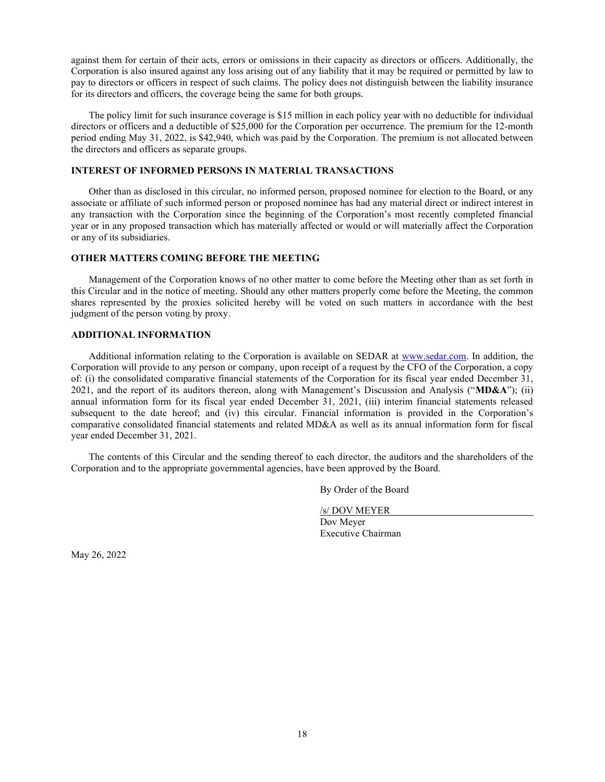against them for certain of their acts, errors or omissions in their capacity as directors or officers. Additionally, the Corporation is also insured against any loss arising out of any liability that it may be required or permitted by law to pay to directors or officers in respect of such claims. The policy does not distinguish between the liability insurance for its directors and officers, the coverage being the same for both groups.

The policy limit for such insurance coverage is \$15 million in each policy year with no deductible for individual directors or officers and a deductible of \$25,000 for the Corporation per occurrence. The premium for the 12-month period ending May 31, 2022, is \$42,940, which was paid by the Corporation. The premium is not allocated between the directors and officers as separate groups.

### INTEREST OF INFORMED PERSONS IN MATERIAL TRANSACTIONS

Other than as disclosed in this circular, no informed person, proposed nominee for election to the Board, or any associate or affiliate of such informed person or proposed nominee has had any material direct or indirect interest in any transaction with the Corporation since the beginning of the Corporation's most recently completed financial year or in any proposed transaction which has materially affected or would or will materially affect the Corporation or any of its subsidiaries.

#### OTHER MATTERS COMING BEFORE THE MEETING

Management of the Corporation knows of no other matter to come before the Meeting other than as set forth in this Circular and in the notice of meeting. Should any other matters properly come before the Meeting, the common shares represented by the proxies solicited hereby will be voted on such matters in accordance with the best judgment of the person voting by proxy.

### ADDITIONAL INFORMATION

Additional information relating to the Corporation is available on SEDAR at www.sedar.com. In addition, the Corporation will provide to any person or company, upon receipt of a request by the CFO of the Corporation, a copy of: (i) the consolidated comparative financial statements of the Corporation for its fiscal year ended December 31, 2021, and the report of its auditors thereon, along with Management's Discussion and Analysis ("MD&A"); (ii) annual information form for its fiscal year ended December 31, 2021, (iii) interim financial statements released subsequent to the date hereof; and (iv) this circular. Financial information is provided in the Corporation's comparative consolidated financial statements and related MD&A as well as its annual information form for fiscal year ended December 31, 2021.

The contents of this Circular and the sending thereof to each director, the auditors and the shareholders of the Corporation and to the appropriate governmental agencies, have been approved by the Board.

By Order of the Board

/s/ DOV MEYER

Dov Meyer Executive Chairman

May 26, 2022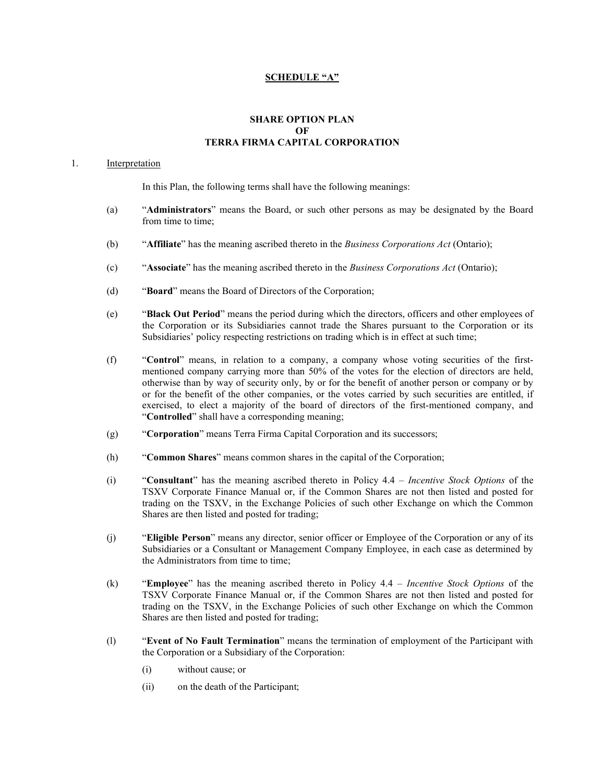## SCHEDULE "A"

## SHARE OPTION PLAN **OF** TERRA FIRMA CAPITAL CORPORATION

## 1. Interpretation

In this Plan, the following terms shall have the following meanings:

- (a) "Administrators" means the Board, or such other persons as may be designated by the Board from time to time;
- (b) "Affiliate" has the meaning ascribed thereto in the *Business Corporations Act* (Ontario);
- (c) "Associate" has the meaning ascribed thereto in the *Business Corporations Act* (Ontario);
- (d) "Board" means the Board of Directors of the Corporation;
- (e) "Black Out Period" means the period during which the directors, officers and other employees of the Corporation or its Subsidiaries cannot trade the Shares pursuant to the Corporation or its Subsidiaries' policy respecting restrictions on trading which is in effect at such time;
- (f) "Control" means, in relation to a company, a company whose voting securities of the firstmentioned company carrying more than 50% of the votes for the election of directors are held, otherwise than by way of security only, by or for the benefit of another person or company or by or for the benefit of the other companies, or the votes carried by such securities are entitled, if exercised, to elect a majority of the board of directors of the first-mentioned company, and "Controlled" shall have a corresponding meaning;
- (g) "Corporation" means Terra Firma Capital Corporation and its successors;
- (h) "Common Shares" means common shares in the capital of the Corporation;
- (i) "Consultant" has the meaning ascribed thereto in Policy 4.4 Incentive Stock Options of the TSXV Corporate Finance Manual or, if the Common Shares are not then listed and posted for trading on the TSXV, in the Exchange Policies of such other Exchange on which the Common Shares are then listed and posted for trading;
- (j) "Eligible Person" means any director, senior officer or Employee of the Corporation or any of its Subsidiaries or a Consultant or Management Company Employee, in each case as determined by the Administrators from time to time;
- (k) "Employee" has the meaning ascribed thereto in Policy  $4.4$  Incentive Stock Options of the TSXV Corporate Finance Manual or, if the Common Shares are not then listed and posted for trading on the TSXV, in the Exchange Policies of such other Exchange on which the Common Shares are then listed and posted for trading;
- (l) "Event of No Fault Termination" means the termination of employment of the Participant with the Corporation or a Subsidiary of the Corporation:
	- (i) without cause; or
	- (ii) on the death of the Participant;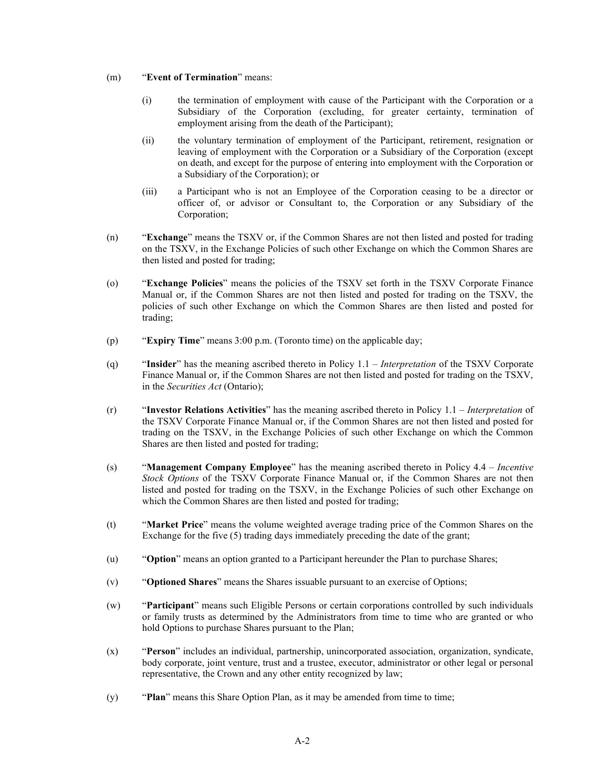## (m) "Event of Termination" means:

- (i) the termination of employment with cause of the Participant with the Corporation or a Subsidiary of the Corporation (excluding, for greater certainty, termination of employment arising from the death of the Participant);
- (ii) the voluntary termination of employment of the Participant, retirement, resignation or leaving of employment with the Corporation or a Subsidiary of the Corporation (except on death, and except for the purpose of entering into employment with the Corporation or a Subsidiary of the Corporation); or
- (iii) a Participant who is not an Employee of the Corporation ceasing to be a director or officer of, or advisor or Consultant to, the Corporation or any Subsidiary of the Corporation;
- (n) "Exchange" means the TSXV or, if the Common Shares are not then listed and posted for trading on the TSXV, in the Exchange Policies of such other Exchange on which the Common Shares are then listed and posted for trading;
- (o) "Exchange Policies" means the policies of the TSXV set forth in the TSXV Corporate Finance Manual or, if the Common Shares are not then listed and posted for trading on the TSXV, the policies of such other Exchange on which the Common Shares are then listed and posted for trading;
- (p) "Expiry Time" means 3:00 p.m. (Toronto time) on the applicable day;
- (q) "Insider" has the meaning ascribed thereto in Policy  $1.1 Interpretation$  of the TSXV Corporate Finance Manual or, if the Common Shares are not then listed and posted for trading on the TSXV, in the Securities Act (Ontario);
- $(r)$  "Investor Relations Activities" has the meaning ascribed thereto in Policy 1.1 Interpretation of the TSXV Corporate Finance Manual or, if the Common Shares are not then listed and posted for trading on the TSXV, in the Exchange Policies of such other Exchange on which the Common Shares are then listed and posted for trading;
- (s) "Management Company Employee" has the meaning ascribed thereto in Policy 4.4 Incentive Stock Options of the TSXV Corporate Finance Manual or, if the Common Shares are not then listed and posted for trading on the TSXV, in the Exchange Policies of such other Exchange on which the Common Shares are then listed and posted for trading;
- (t) "Market Price" means the volume weighted average trading price of the Common Shares on the Exchange for the five (5) trading days immediately preceding the date of the grant;
- (u) "Option" means an option granted to a Participant hereunder the Plan to purchase Shares;
- (v) "Optioned Shares" means the Shares issuable pursuant to an exercise of Options;
- (w) "Participant" means such Eligible Persons or certain corporations controlled by such individuals or family trusts as determined by the Administrators from time to time who are granted or who hold Options to purchase Shares pursuant to the Plan;
- (x) "Person" includes an individual, partnership, unincorporated association, organization, syndicate, body corporate, joint venture, trust and a trustee, executor, administrator or other legal or personal representative, the Crown and any other entity recognized by law;
- (y) "Plan" means this Share Option Plan, as it may be amended from time to time;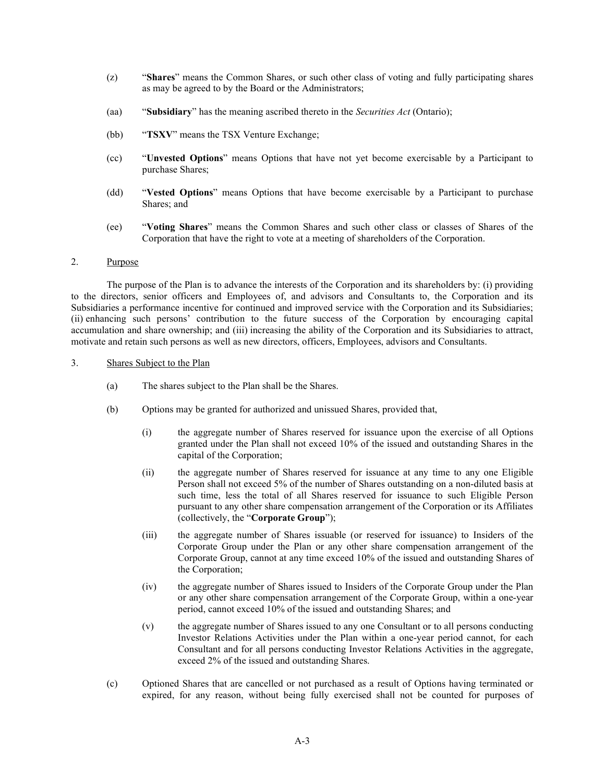- (z) "Shares" means the Common Shares, or such other class of voting and fully participating shares as may be agreed to by the Board or the Administrators;
- (aa) "Subsidiary" has the meaning ascribed thereto in the *Securities Act* (Ontario);
- (bb) "TSXV" means the TSX Venture Exchange;
- (cc) "Unvested Options" means Options that have not yet become exercisable by a Participant to purchase Shares;
- (dd) "Vested Options" means Options that have become exercisable by a Participant to purchase Shares; and
- (ee) "Voting Shares" means the Common Shares and such other class or classes of Shares of the Corporation that have the right to vote at a meeting of shareholders of the Corporation.

### 2. Purpose

The purpose of the Plan is to advance the interests of the Corporation and its shareholders by: (i) providing to the directors, senior officers and Employees of, and advisors and Consultants to, the Corporation and its Subsidiaries a performance incentive for continued and improved service with the Corporation and its Subsidiaries; (ii) enhancing such persons' contribution to the future success of the Corporation by encouraging capital accumulation and share ownership; and (iii) increasing the ability of the Corporation and its Subsidiaries to attract, motivate and retain such persons as well as new directors, officers, Employees, advisors and Consultants.

### 3. Shares Subject to the Plan

- (a) The shares subject to the Plan shall be the Shares.
- (b) Options may be granted for authorized and unissued Shares, provided that,
	- (i) the aggregate number of Shares reserved for issuance upon the exercise of all Options granted under the Plan shall not exceed 10% of the issued and outstanding Shares in the capital of the Corporation;
	- (ii) the aggregate number of Shares reserved for issuance at any time to any one Eligible Person shall not exceed 5% of the number of Shares outstanding on a non-diluted basis at such time, less the total of all Shares reserved for issuance to such Eligible Person pursuant to any other share compensation arrangement of the Corporation or its Affiliates (collectively, the "Corporate Group");
	- (iii) the aggregate number of Shares issuable (or reserved for issuance) to Insiders of the Corporate Group under the Plan or any other share compensation arrangement of the Corporate Group, cannot at any time exceed 10% of the issued and outstanding Shares of the Corporation;
	- (iv) the aggregate number of Shares issued to Insiders of the Corporate Group under the Plan or any other share compensation arrangement of the Corporate Group, within a one-year period, cannot exceed 10% of the issued and outstanding Shares; and
	- (v) the aggregate number of Shares issued to any one Consultant or to all persons conducting Investor Relations Activities under the Plan within a one-year period cannot, for each Consultant and for all persons conducting Investor Relations Activities in the aggregate, exceed 2% of the issued and outstanding Shares.
- (c) Optioned Shares that are cancelled or not purchased as a result of Options having terminated or expired, for any reason, without being fully exercised shall not be counted for purposes of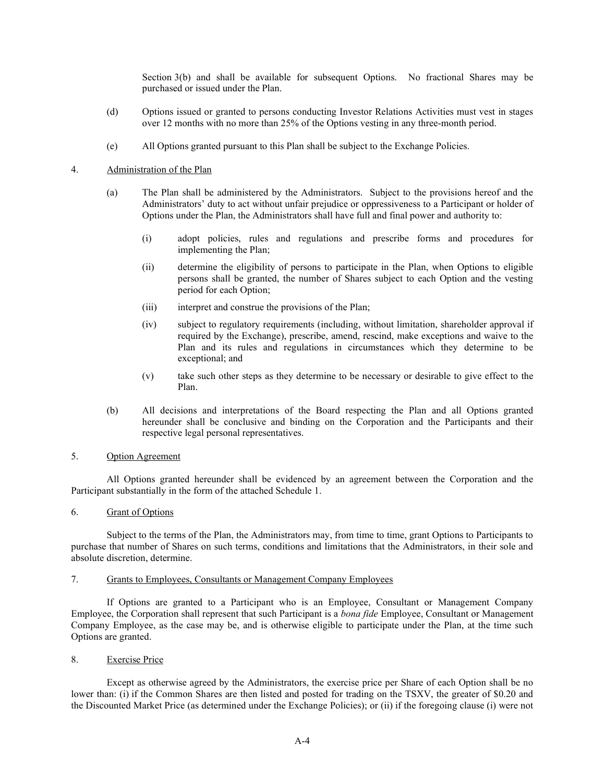Section 3(b) and shall be available for subsequent Options. No fractional Shares may be purchased or issued under the Plan.

- (d) Options issued or granted to persons conducting Investor Relations Activities must vest in stages over 12 months with no more than 25% of the Options vesting in any three-month period.
- (e) All Options granted pursuant to this Plan shall be subject to the Exchange Policies.

## 4. Administration of the Plan

- (a) The Plan shall be administered by the Administrators. Subject to the provisions hereof and the Administrators' duty to act without unfair prejudice or oppressiveness to a Participant or holder of Options under the Plan, the Administrators shall have full and final power and authority to:
	- (i) adopt policies, rules and regulations and prescribe forms and procedures for implementing the Plan;
	- (ii) determine the eligibility of persons to participate in the Plan, when Options to eligible persons shall be granted, the number of Shares subject to each Option and the vesting period for each Option;
	- (iii) interpret and construe the provisions of the Plan;
	- (iv) subject to regulatory requirements (including, without limitation, shareholder approval if required by the Exchange), prescribe, amend, rescind, make exceptions and waive to the Plan and its rules and regulations in circumstances which they determine to be exceptional; and
	- (v) take such other steps as they determine to be necessary or desirable to give effect to the Plan.
- (b) All decisions and interpretations of the Board respecting the Plan and all Options granted hereunder shall be conclusive and binding on the Corporation and the Participants and their respective legal personal representatives.

## 5. Option Agreement

All Options granted hereunder shall be evidenced by an agreement between the Corporation and the Participant substantially in the form of the attached Schedule 1.

## 6. Grant of Options

Subject to the terms of the Plan, the Administrators may, from time to time, grant Options to Participants to purchase that number of Shares on such terms, conditions and limitations that the Administrators, in their sole and absolute discretion, determine.

### 7. Grants to Employees, Consultants or Management Company Employees

If Options are granted to a Participant who is an Employee, Consultant or Management Company Employee, the Corporation shall represent that such Participant is a bona fide Employee, Consultant or Management Company Employee, as the case may be, and is otherwise eligible to participate under the Plan, at the time such Options are granted.

### 8. Exercise Price

Except as otherwise agreed by the Administrators, the exercise price per Share of each Option shall be no lower than: (i) if the Common Shares are then listed and posted for trading on the TSXV, the greater of \$0.20 and the Discounted Market Price (as determined under the Exchange Policies); or (ii) if the foregoing clause (i) were not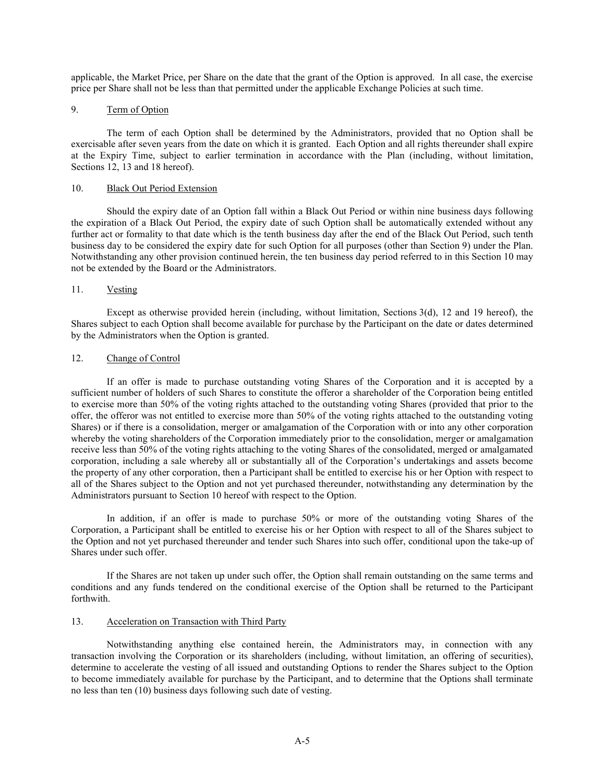applicable, the Market Price, per Share on the date that the grant of the Option is approved. In all case, the exercise price per Share shall not be less than that permitted under the applicable Exchange Policies at such time.

## 9. Term of Option

The term of each Option shall be determined by the Administrators, provided that no Option shall be exercisable after seven years from the date on which it is granted. Each Option and all rights thereunder shall expire at the Expiry Time, subject to earlier termination in accordance with the Plan (including, without limitation, Sections 12, 13 and 18 hereof).

## 10. Black Out Period Extension

Should the expiry date of an Option fall within a Black Out Period or within nine business days following the expiration of a Black Out Period, the expiry date of such Option shall be automatically extended without any further act or formality to that date which is the tenth business day after the end of the Black Out Period, such tenth business day to be considered the expiry date for such Option for all purposes (other than Section 9) under the Plan. Notwithstanding any other provision continued herein, the ten business day period referred to in this Section 10 may not be extended by the Board or the Administrators.

## 11. Vesting

Except as otherwise provided herein (including, without limitation, Sections 3(d), 12 and 19 hereof), the Shares subject to each Option shall become available for purchase by the Participant on the date or dates determined by the Administrators when the Option is granted.

## 12. Change of Control

If an offer is made to purchase outstanding voting Shares of the Corporation and it is accepted by a sufficient number of holders of such Shares to constitute the offeror a shareholder of the Corporation being entitled to exercise more than 50% of the voting rights attached to the outstanding voting Shares (provided that prior to the offer, the offeror was not entitled to exercise more than 50% of the voting rights attached to the outstanding voting Shares) or if there is a consolidation, merger or amalgamation of the Corporation with or into any other corporation whereby the voting shareholders of the Corporation immediately prior to the consolidation, merger or amalgamation receive less than 50% of the voting rights attaching to the voting Shares of the consolidated, merged or amalgamated corporation, including a sale whereby all or substantially all of the Corporation's undertakings and assets become the property of any other corporation, then a Participant shall be entitled to exercise his or her Option with respect to all of the Shares subject to the Option and not yet purchased thereunder, notwithstanding any determination by the Administrators pursuant to Section 10 hereof with respect to the Option.

In addition, if an offer is made to purchase 50% or more of the outstanding voting Shares of the Corporation, a Participant shall be entitled to exercise his or her Option with respect to all of the Shares subject to the Option and not yet purchased thereunder and tender such Shares into such offer, conditional upon the take-up of Shares under such offer.

If the Shares are not taken up under such offer, the Option shall remain outstanding on the same terms and conditions and any funds tendered on the conditional exercise of the Option shall be returned to the Participant forthwith.

### 13. Acceleration on Transaction with Third Party

Notwithstanding anything else contained herein, the Administrators may, in connection with any transaction involving the Corporation or its shareholders (including, without limitation, an offering of securities), determine to accelerate the vesting of all issued and outstanding Options to render the Shares subject to the Option to become immediately available for purchase by the Participant, and to determine that the Options shall terminate no less than ten (10) business days following such date of vesting.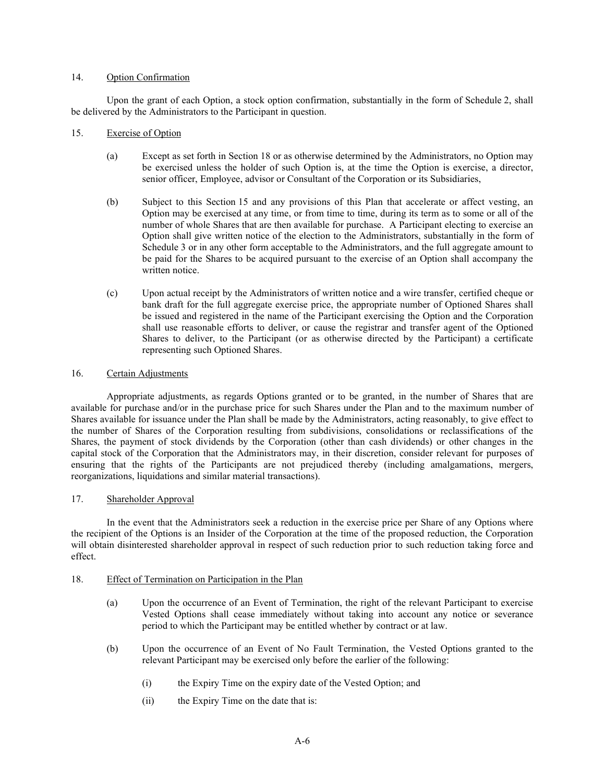## 14. Option Confirmation

Upon the grant of each Option, a stock option confirmation, substantially in the form of Schedule 2, shall be delivered by the Administrators to the Participant in question.

- 15. Exercise of Option
	- (a) Except as set forth in Section 18 or as otherwise determined by the Administrators, no Option may be exercised unless the holder of such Option is, at the time the Option is exercise, a director, senior officer, Employee, advisor or Consultant of the Corporation or its Subsidiaries,
	- (b) Subject to this Section 15 and any provisions of this Plan that accelerate or affect vesting, an Option may be exercised at any time, or from time to time, during its term as to some or all of the number of whole Shares that are then available for purchase. A Participant electing to exercise an Option shall give written notice of the election to the Administrators, substantially in the form of Schedule 3 or in any other form acceptable to the Administrators, and the full aggregate amount to be paid for the Shares to be acquired pursuant to the exercise of an Option shall accompany the written notice.
	- (c) Upon actual receipt by the Administrators of written notice and a wire transfer, certified cheque or bank draft for the full aggregate exercise price, the appropriate number of Optioned Shares shall be issued and registered in the name of the Participant exercising the Option and the Corporation shall use reasonable efforts to deliver, or cause the registrar and transfer agent of the Optioned Shares to deliver, to the Participant (or as otherwise directed by the Participant) a certificate representing such Optioned Shares.

## 16. Certain Adjustments

Appropriate adjustments, as regards Options granted or to be granted, in the number of Shares that are available for purchase and/or in the purchase price for such Shares under the Plan and to the maximum number of Shares available for issuance under the Plan shall be made by the Administrators, acting reasonably, to give effect to the number of Shares of the Corporation resulting from subdivisions, consolidations or reclassifications of the Shares, the payment of stock dividends by the Corporation (other than cash dividends) or other changes in the capital stock of the Corporation that the Administrators may, in their discretion, consider relevant for purposes of ensuring that the rights of the Participants are not prejudiced thereby (including amalgamations, mergers, reorganizations, liquidations and similar material transactions).

## 17. Shareholder Approval

In the event that the Administrators seek a reduction in the exercise price per Share of any Options where the recipient of the Options is an Insider of the Corporation at the time of the proposed reduction, the Corporation will obtain disinterested shareholder approval in respect of such reduction prior to such reduction taking force and effect.

### 18. Effect of Termination on Participation in the Plan

- (a) Upon the occurrence of an Event of Termination, the right of the relevant Participant to exercise Vested Options shall cease immediately without taking into account any notice or severance period to which the Participant may be entitled whether by contract or at law.
- (b) Upon the occurrence of an Event of No Fault Termination, the Vested Options granted to the relevant Participant may be exercised only before the earlier of the following:
	- (i) the Expiry Time on the expiry date of the Vested Option; and
	- (ii) the Expiry Time on the date that is: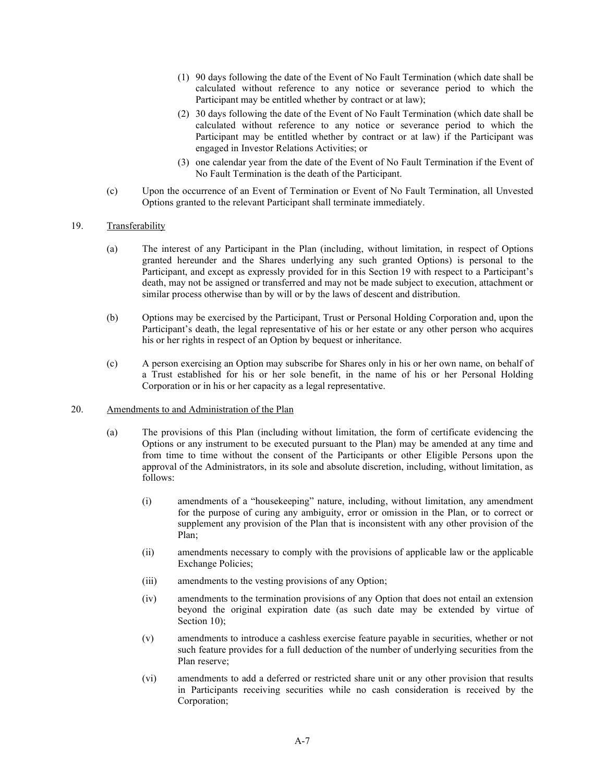- (1) 90 days following the date of the Event of No Fault Termination (which date shall be calculated without reference to any notice or severance period to which the Participant may be entitled whether by contract or at law);
- (2) 30 days following the date of the Event of No Fault Termination (which date shall be calculated without reference to any notice or severance period to which the Participant may be entitled whether by contract or at law) if the Participant was engaged in Investor Relations Activities; or
- (3) one calendar year from the date of the Event of No Fault Termination if the Event of No Fault Termination is the death of the Participant.
- (c) Upon the occurrence of an Event of Termination or Event of No Fault Termination, all Unvested Options granted to the relevant Participant shall terminate immediately.

## 19. Transferability

- (a) The interest of any Participant in the Plan (including, without limitation, in respect of Options granted hereunder and the Shares underlying any such granted Options) is personal to the Participant, and except as expressly provided for in this Section 19 with respect to a Participant's death, may not be assigned or transferred and may not be made subject to execution, attachment or similar process otherwise than by will or by the laws of descent and distribution.
- (b) Options may be exercised by the Participant, Trust or Personal Holding Corporation and, upon the Participant's death, the legal representative of his or her estate or any other person who acquires his or her rights in respect of an Option by bequest or inheritance.
- (c) A person exercising an Option may subscribe for Shares only in his or her own name, on behalf of a Trust established for his or her sole benefit, in the name of his or her Personal Holding Corporation or in his or her capacity as a legal representative.

### 20. Amendments to and Administration of the Plan

- (a) The provisions of this Plan (including without limitation, the form of certificate evidencing the Options or any instrument to be executed pursuant to the Plan) may be amended at any time and from time to time without the consent of the Participants or other Eligible Persons upon the approval of the Administrators, in its sole and absolute discretion, including, without limitation, as follows:
	- (i) amendments of a "housekeeping" nature, including, without limitation, any amendment for the purpose of curing any ambiguity, error or omission in the Plan, or to correct or supplement any provision of the Plan that is inconsistent with any other provision of the Plan;
	- (ii) amendments necessary to comply with the provisions of applicable law or the applicable Exchange Policies;
	- (iii) amendments to the vesting provisions of any Option;
	- (iv) amendments to the termination provisions of any Option that does not entail an extension beyond the original expiration date (as such date may be extended by virtue of Section 10):
	- (v) amendments to introduce a cashless exercise feature payable in securities, whether or not such feature provides for a full deduction of the number of underlying securities from the Plan reserve;
	- (vi) amendments to add a deferred or restricted share unit or any other provision that results in Participants receiving securities while no cash consideration is received by the Corporation;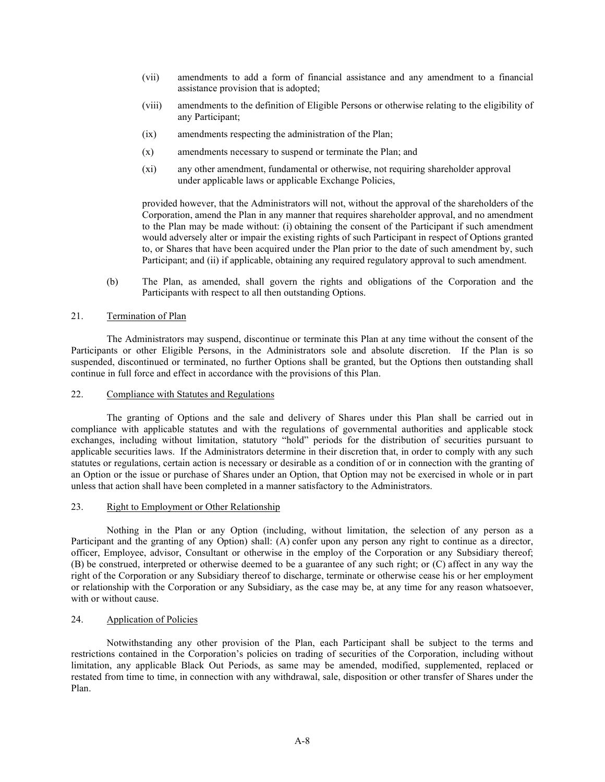- (vii) amendments to add a form of financial assistance and any amendment to a financial assistance provision that is adopted;
- (viii) amendments to the definition of Eligible Persons or otherwise relating to the eligibility of any Participant;
- (ix) amendments respecting the administration of the Plan;
- (x) amendments necessary to suspend or terminate the Plan; and
- (xi) any other amendment, fundamental or otherwise, not requiring shareholder approval under applicable laws or applicable Exchange Policies,

provided however, that the Administrators will not, without the approval of the shareholders of the Corporation, amend the Plan in any manner that requires shareholder approval, and no amendment to the Plan may be made without: (i) obtaining the consent of the Participant if such amendment would adversely alter or impair the existing rights of such Participant in respect of Options granted to, or Shares that have been acquired under the Plan prior to the date of such amendment by, such Participant; and (ii) if applicable, obtaining any required regulatory approval to such amendment.

(b) The Plan, as amended, shall govern the rights and obligations of the Corporation and the Participants with respect to all then outstanding Options.

## 21. Termination of Plan

The Administrators may suspend, discontinue or terminate this Plan at any time without the consent of the Participants or other Eligible Persons, in the Administrators sole and absolute discretion. If the Plan is so suspended, discontinued or terminated, no further Options shall be granted, but the Options then outstanding shall continue in full force and effect in accordance with the provisions of this Plan.

### 22. Compliance with Statutes and Regulations

The granting of Options and the sale and delivery of Shares under this Plan shall be carried out in compliance with applicable statutes and with the regulations of governmental authorities and applicable stock exchanges, including without limitation, statutory "hold" periods for the distribution of securities pursuant to applicable securities laws. If the Administrators determine in their discretion that, in order to comply with any such statutes or regulations, certain action is necessary or desirable as a condition of or in connection with the granting of an Option or the issue or purchase of Shares under an Option, that Option may not be exercised in whole or in part unless that action shall have been completed in a manner satisfactory to the Administrators.

## 23. Right to Employment or Other Relationship

Nothing in the Plan or any Option (including, without limitation, the selection of any person as a Participant and the granting of any Option) shall: (A) confer upon any person any right to continue as a director, officer, Employee, advisor, Consultant or otherwise in the employ of the Corporation or any Subsidiary thereof; (B) be construed, interpreted or otherwise deemed to be a guarantee of any such right; or (C) affect in any way the right of the Corporation or any Subsidiary thereof to discharge, terminate or otherwise cease his or her employment or relationship with the Corporation or any Subsidiary, as the case may be, at any time for any reason whatsoever, with or without cause.

## 24. Application of Policies

Notwithstanding any other provision of the Plan, each Participant shall be subject to the terms and restrictions contained in the Corporation's policies on trading of securities of the Corporation, including without limitation, any applicable Black Out Periods, as same may be amended, modified, supplemented, replaced or restated from time to time, in connection with any withdrawal, sale, disposition or other transfer of Shares under the Plan.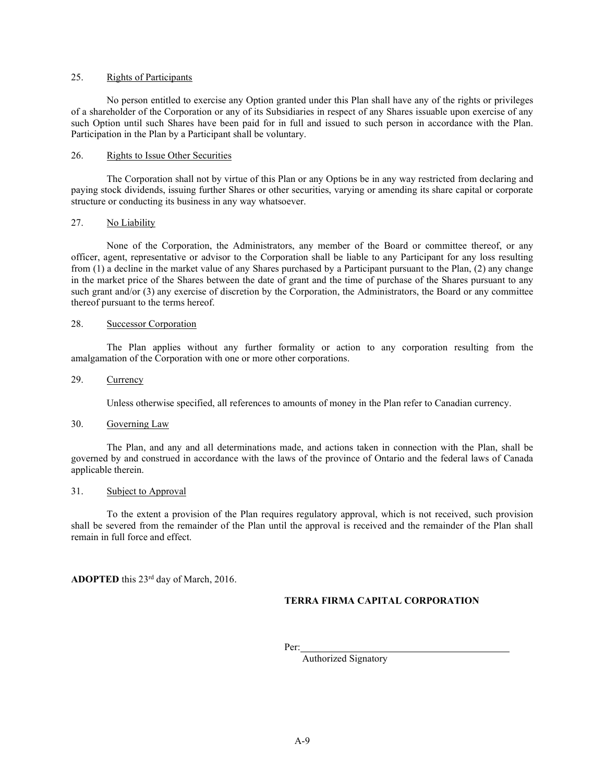## 25. Rights of Participants

No person entitled to exercise any Option granted under this Plan shall have any of the rights or privileges of a shareholder of the Corporation or any of its Subsidiaries in respect of any Shares issuable upon exercise of any such Option until such Shares have been paid for in full and issued to such person in accordance with the Plan. Participation in the Plan by a Participant shall be voluntary.

### 26. Rights to Issue Other Securities

The Corporation shall not by virtue of this Plan or any Options be in any way restricted from declaring and paying stock dividends, issuing further Shares or other securities, varying or amending its share capital or corporate structure or conducting its business in any way whatsoever.

## 27. No Liability

None of the Corporation, the Administrators, any member of the Board or committee thereof, or any officer, agent, representative or advisor to the Corporation shall be liable to any Participant for any loss resulting from (1) a decline in the market value of any Shares purchased by a Participant pursuant to the Plan, (2) any change in the market price of the Shares between the date of grant and the time of purchase of the Shares pursuant to any such grant and/or (3) any exercise of discretion by the Corporation, the Administrators, the Board or any committee thereof pursuant to the terms hereof.

### 28. Successor Corporation

The Plan applies without any further formality or action to any corporation resulting from the amalgamation of the Corporation with one or more other corporations.

## 29. Currency

Unless otherwise specified, all references to amounts of money in the Plan refer to Canadian currency.

## 30. Governing Law

The Plan, and any and all determinations made, and actions taken in connection with the Plan, shall be governed by and construed in accordance with the laws of the province of Ontario and the federal laws of Canada applicable therein.

### 31. Subject to Approval

To the extent a provision of the Plan requires regulatory approval, which is not received, such provision shall be severed from the remainder of the Plan until the approval is received and the remainder of the Plan shall remain in full force and effect.

ADOPTED this 23<sup>rd</sup> day of March, 2016.

## TERRA FIRMA CAPITAL CORPORATION

Per:

Authorized Signatory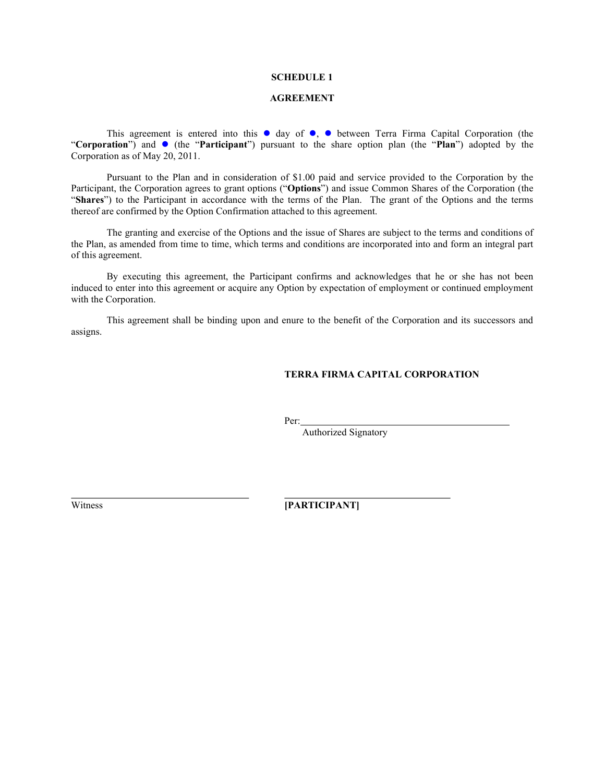### SCHEDULE 1

## AGREEMENT

This agreement is entered into this  $\bullet$  day of  $\bullet$ ,  $\bullet$  between Terra Firma Capital Corporation (the "Corporation") and  $\bullet$  (the "Participant") pursuant to the share option plan (the "Plan") adopted by the Corporation as of May 20, 2011.

Pursuant to the Plan and in consideration of \$1.00 paid and service provided to the Corporation by the Participant, the Corporation agrees to grant options ("Options") and issue Common Shares of the Corporation (the "Shares") to the Participant in accordance with the terms of the Plan. The grant of the Options and the terms thereof are confirmed by the Option Confirmation attached to this agreement.

The granting and exercise of the Options and the issue of Shares are subject to the terms and conditions of the Plan, as amended from time to time, which terms and conditions are incorporated into and form an integral part of this agreement.

By executing this agreement, the Participant confirms and acknowledges that he or she has not been induced to enter into this agreement or acquire any Option by expectation of employment or continued employment with the Corporation.

This agreement shall be binding upon and enure to the benefit of the Corporation and its successors and assigns.

# TERRA FIRMA CAPITAL CORPORATION

Per:

Authorized Signatory

 $\overline{a}$ 

Witness [PARTICIPANT]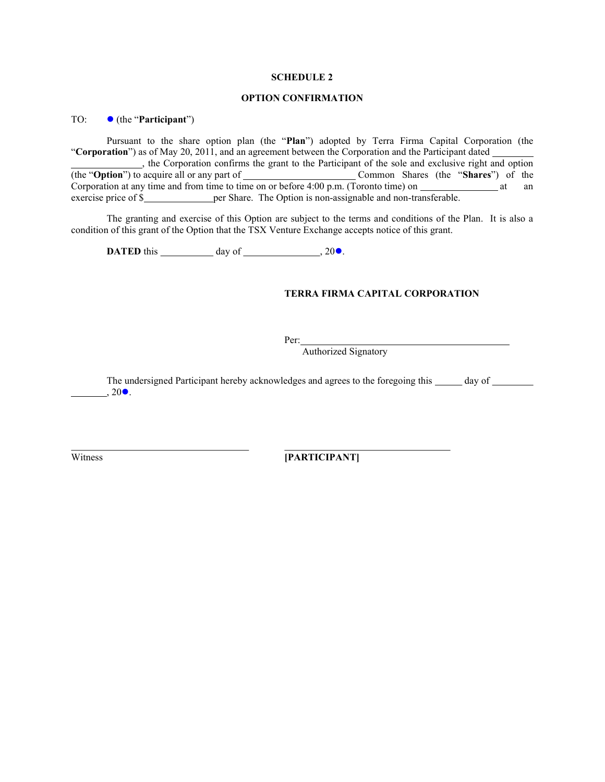### SCHEDULE 2

## OPTION CONFIRMATION

TO: ● (the "**Participant**")

Pursuant to the share option plan (the "Plan") adopted by Terra Firma Capital Corporation (the "Corporation") as of May 20, 2011, and an agreement between the Corporation and the Participant dated

 , the Corporation confirms the grant to the Participant of the sole and exclusive right and option (the "**Option**") to acquire all or any part of Common Shares (the "**Shares**") of the Corporation at any time and from time to time on or before  $4:00$  p.m. (Toronto time) on  $\frac{1}{\sqrt{1-\frac{1}{n}}}\$  at an exercise price of \$ per Share. The Option is non-assignable and non-transferable.

The granting and exercise of this Option are subject to the terms and conditions of the Plan. It is also a condition of this grant of the Option that the TSX Venture Exchange accepts notice of this grant.

**DATED** this  $\qquad \qquad$  day of  $\qquad \qquad$ , 20 $\bullet$ .

# TERRA FIRMA CAPITAL CORPORATION

Per:

Authorized Signatory

The undersigned Participant hereby acknowledges and agrees to the foregoing this day of  $, 20\bullet$ .

 $\overline{a}$ 

Witness **[PARTICIPANT]**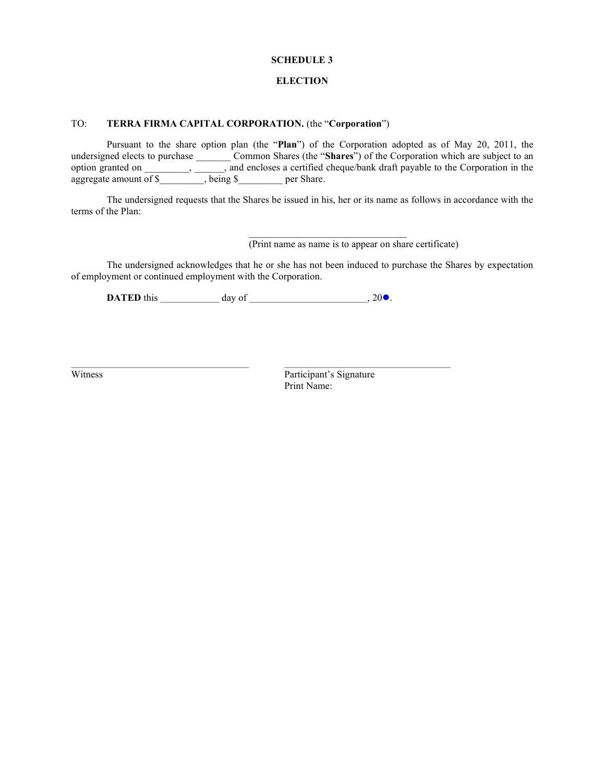### SCHEDULE 3

## **ELECTION**

## TO: TERRA FIRMA CAPITAL CORPORATION. (the "Corporation")

Pursuant to the share option plan (the "Plan") of the Corporation adopted as of May 20, 2011, the undersigned elects to purchase \_\_\_\_\_\_\_\_\_ Common Shares (the "Shares") of the Corporation which are subject to an option granted on \_\_\_\_\_\_\_\_\_, \_\_\_\_\_\_, and encloses a certified cheque/bank draft payable to the Corporation in the aggregate amount of \$<sub>1</sub>, being \$<sub>per Share.</sub>

The undersigned requests that the Shares be issued in his, her or its name as follows in accordance with the terms of the Plan:

(Print name as name is to appear on share certificate)

The undersigned acknowledges that he or she has not been induced to purchase the Shares by expectation of employment or continued employment with the Corporation.

DATED this  $\frac{1}{20}$  day of  $\frac{1}{20}$ , 200.

 $\overline{a}$ 

Witness Participant's Signature Print Name: